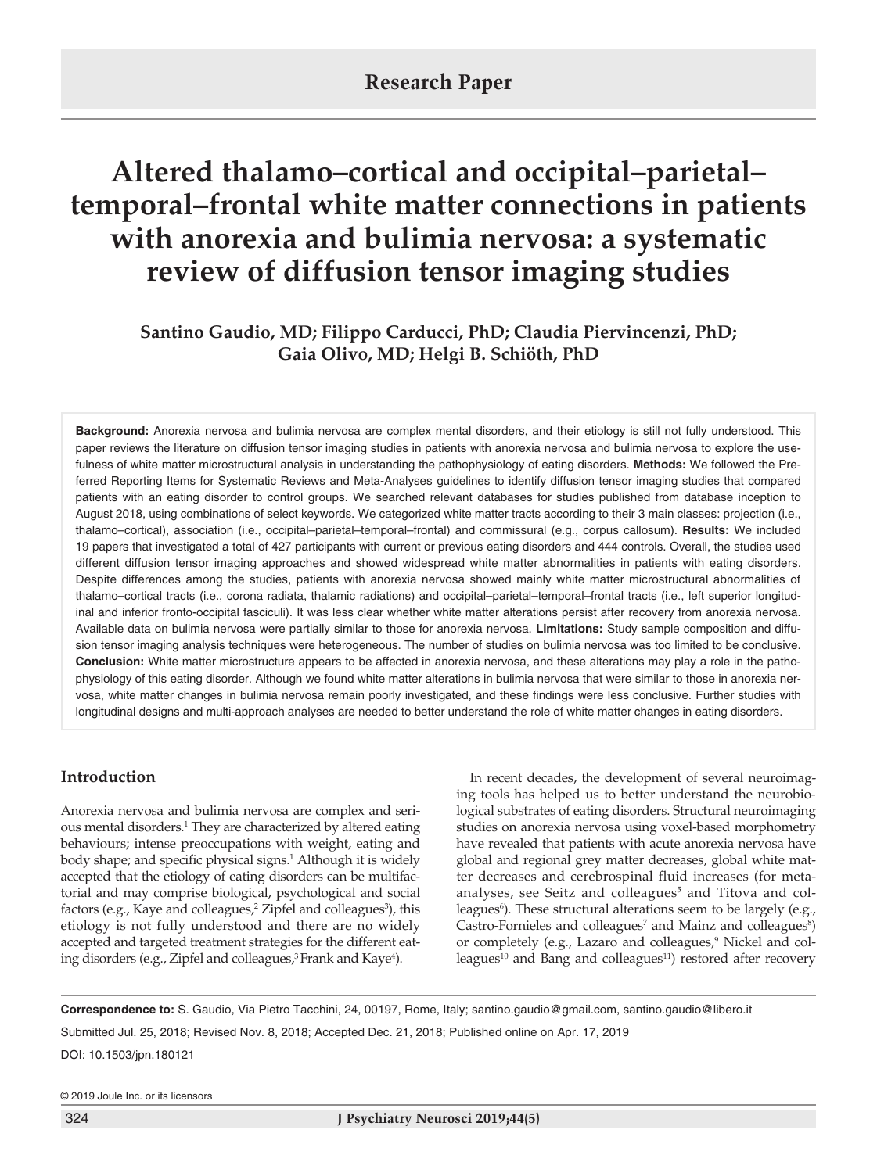# **Altered thalamo–cortical and occipital–parietal– temporal–frontal white matter connections in patients with anorexia and bulimia nervosa: a systematic review of diffusion tensor imaging studies**

**Santino Gaudio, MD; Filippo Carducci, PhD; Claudia Piervincenzi, PhD; Gaia Olivo, MD; Helgi B. Schiöth, PhD**

**Background:** Anorexia nervosa and bulimia nervosa are complex mental disorders, and their etiology is still not fully understood. This paper reviews the literature on diffusion tensor imaging studies in patients with anorexia nervosa and bulimia nervosa to explore the usefulness of white matter microstructural analysis in understanding the pathophysiology of eating disorders. **Methods:** We followed the Preferred Reporting Items for Systematic Reviews and Meta-Analyses guidelines to identify diffusion tensor imaging studies that compared patients with an eating disorder to control groups. We searched relevant databases for studies published from database inception to August 2018, using combinations of select keywords. We categorized white matter tracts according to their 3 main classes: projection (i.e., thalamo–cortical), association (i.e., occipital–parietal–temporal–frontal) and commissural (e.g., corpus callosum). **Results:** We included 19 papers that investigated a total of 427 participants with current or previous eating disorders and 444 controls. Overall, the studies used different diffusion tensor imaging approaches and showed widespread white matter abnormalities in patients with eating disorders. Despite differences among the studies, patients with anorexia nervosa showed mainly white matter microstructural abnormalities of thalamo–cortical tracts (i.e., corona radiata, thalamic radiations) and occipital–parietal–temporal–frontal tracts (i.e., left superior longitudinal and inferior fronto-occipital fasciculi). It was less clear whether white matter alterations persist after recovery from anorexia nervosa. Available data on bulimia nervosa were partially similar to those for anorexia nervosa. **Limitations:** Study sample composition and diffusion tensor imaging analysis techniques were heterogeneous. The number of studies on bulimia nervosa was too limited to be conclusive. **Conclusion:** White matter microstructure appears to be affected in anorexia nervosa, and these alterations may play a role in the pathophysiology of this eating disorder. Although we found white matter alterations in bulimia nervosa that were similar to those in anorexia nervosa, white matter changes in bulimia nervosa remain poorly investigated, and these findings were less conclusive. Further studies with longitudinal designs and multi-approach analyses are needed to better understand the role of white matter changes in eating disorders.

## **Introduction**

Anorexia nervosa and bulimia nervosa are complex and serious mental disorders.1 They are characterized by altered eating behaviours; intense preoccupations with weight, eating and body shape; and specific physical signs.<sup>1</sup> Although it is widely accepted that the etiology of eating disorders can be multifactorial and may comprise biological, psychological and social factors (e.g., Kaye and colleagues,<sup>2</sup> Zipfel and colleagues<sup>3</sup>), this etiology is not fully understood and there are no widely accepted and targeted treatment strategies for the different eating disorders (e.g., Zipfel and colleagues,<sup>3</sup> Frank and Kaye<sup>4</sup>).

In recent decades, the development of several neuroimaging tools has helped us to better understand the neurobiological substrates of eating disorders. Structural neuroimaging studies on anorexia nervosa using voxel-based morphometry have revealed that patients with acute anorexia nervosa have global and regional grey matter decreases, global white matter decreases and cerebrospinal fluid increases (for meta-analyses, see Seitz and colleagues<sup>5</sup> and Titova and colleagues<sup>6</sup>). These structural alterations seem to be largely (e.g., Castro-Fornieles and colleagues<sup>7</sup> and Mainz and colleagues<sup>8</sup>) or completely (e.g., Lazaro and colleagues,<sup>9</sup> Nickel and colleagues<sup>10</sup> and Bang and colleagues<sup>11</sup>) restored after recovery

**Correspondence to:** S. Gaudio, Via Pietro Tacchini, 24, 00197, Rome, Italy; santino.gaudio@gmail.com, santino.gaudio@libero.it

Submitted Jul. 25, 2018; Revised Nov. 8, 2018; Accepted Dec. 21, 2018; Published online on Apr. 17, 2019 DOI: 10.1503/jpn.180121

© 2019 Joule Inc. or its licensors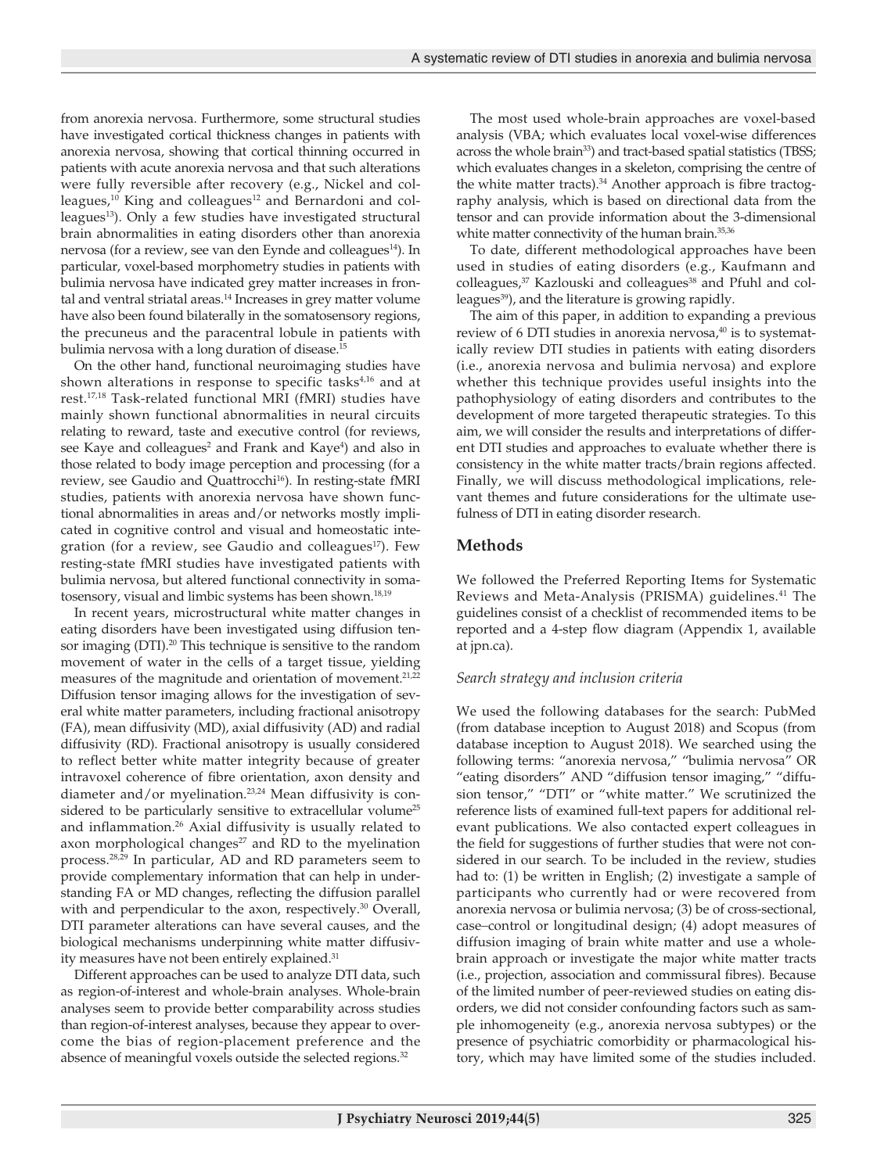from anorexia nervosa. Furthermore, some structural studies have investigated cortical thickness changes in patients with anorexia nervosa, showing that cortical thinning occurred in patients with acute anorexia nervosa and that such alterations were fully reversible after recovery (e.g., Nickel and colleagues,<sup>10</sup> King and colleagues<sup>12</sup> and Bernardoni and colleagues<sup>13</sup>). Only a few studies have investigated structural brain abnormalities in eating disorders other than anorexia nervosa (for a review, see van den Eynde and colleagues<sup>14</sup>). In particular, voxel-based morphometry studies in patients with bulimia nervosa have indicated grey matter increases in frontal and ventral striatal areas.<sup>14</sup> Increases in grey matter volume have also been found bilaterally in the somatosensory regions, the precuneus and the paracentral lobule in patients with bulimia nervosa with a long duration of disease.15

On the other hand, functional neuroimaging studies have shown alterations in response to specific tasks<sup>4,16</sup> and at rest.17,18 Task-related functional MRI (fMRI) studies have mainly shown functional abnormalities in neural circuits relating to reward, taste and executive control (for reviews, see Kaye and colleagues<sup>2</sup> and Frank and Kaye<sup>4</sup>) and also in those related to body image perception and processing (for a review, see Gaudio and Quattrocchi<sup>16</sup>). In resting-state fMRI studies, patients with anorexia nervosa have shown functional abnormalities in areas and/or networks mostly implicated in cognitive control and visual and homeostatic integration (for a review, see Gaudio and colleagues<sup>17</sup>). Few resting-state fMRI studies have investigated patients with bulimia nervosa, but altered functional connectivity in somatosensory, visual and limbic systems has been shown.<sup>18,19</sup>

In recent years, microstructural white matter changes in eating disorders have been investigated using diffusion tensor imaging (DTI).<sup>20</sup> This technique is sensitive to the random movement of water in the cells of a target tissue, yielding measures of the magnitude and orientation of movement.<sup>21,22</sup> Diffusion tensor imaging allows for the investigation of several white matter parameters, including fractional anisotropy (FA), mean diffusivity (MD), axial diffusivity (AD) and radial diffusivity (RD). Fractional anisotropy is usually considered to reflect better white matter integrity because of greater intravoxel coherence of fibre orientation, axon density and diameter and/or myelination.23,24 Mean diffusivity is considered to be particularly sensitive to extracellular volume<sup>25</sup> and inflammation.26 Axial diffusivity is usually related to axon morphological changes $27$  and RD to the myelination process.28,29 In particular, AD and RD parameters seem to provide complementary information that can help in understanding FA or MD changes, reflecting the diffusion parallel with and perpendicular to the axon, respectively.<sup>30</sup> Overall, DTI parameter alterations can have several causes, and the biological mechanisms underpinning white matter diffusivity measures have not been entirely explained.<sup>31</sup>

Different approaches can be used to analyze DTI data, such as region-of-interest and whole-brain analyses. Whole-brain analyses seem to provide better comparability across studies than region-of-interest analyses, because they appear to overcome the bias of region-placement preference and the absence of meaningful voxels outside the selected regions.<sup>32</sup>

The most used whole-brain approaches are voxel-based analysis (VBA; which evaluates local voxel-wise differences across the whole brain<sup>33</sup>) and tract-based spatial statistics (TBSS; which evaluates changes in a skeleton, comprising the centre of the white matter tracts).<sup>34</sup> Another approach is fibre tractography analysis, which is based on directional data from the tensor and can provide information about the 3-dimensional white matter connectivity of the human brain.<sup>35,36</sup>

To date, different methodological approaches have been used in studies of eating disorders (e.g., Kaufmann and colleagues,<sup>37</sup> Kazlouski and colleagues<sup>38</sup> and Pfuhl and colleagues<sup>39</sup>), and the literature is growing rapidly.

The aim of this paper, in addition to expanding a previous review of 6 DTI studies in anorexia nervosa,<sup>40</sup> is to systematically review DTI studies in patients with eating disorders (i.e., anorexia nervosa and bulimia nervosa) and explore whether this technique provides useful insights into the pathophysiology of eating disorders and contributes to the development of more targeted therapeutic strategies. To this aim, we will consider the results and interpretations of different DTI studies and approaches to evaluate whether there is consistency in the white matter tracts/brain regions affected. Finally, we will discuss methodological implications, relevant themes and future considerations for the ultimate usefulness of DTI in eating disorder research.

## **Methods**

We followed the Preferred Reporting Items for Systematic Reviews and Meta-Analysis (PRISMA) guidelines.<sup>41</sup> The guidelines consist of a checklist of recommended items to be reported and a 4-step flow diagram (Appendix 1, available at jpn.ca).

#### *Search strategy and inclusion criteria*

We used the following databases for the search: PubMed (from database inception to August 2018) and Scopus (from database inception to August 2018). We searched using the following terms: "anorexia nervosa," "bulimia nervosa" OR "eating disorders" AND "diffusion tensor imaging," "diffusion tensor," "DTI" or "white matter." We scrutinized the reference lists of examined full-text papers for additional relevant publications. We also contacted expert colleagues in the field for suggestions of further studies that were not considered in our search. To be included in the review, studies had to: (1) be written in English; (2) investigate a sample of participants who currently had or were recovered from anorexia nervosa or bulimia nervosa; (3) be of cross-sectional, case*–*control or longitudinal design; (4) adopt measures of diffusion imaging of brain white matter and use a wholebrain approach or investigate the major white matter tracts (i.e., projection, association and commissural fibres). Because of the limited number of peer-reviewed studies on eating disorders, we did not consider confounding factors such as sample inhomogeneity (e.g., anorexia nervosa subtypes) or the presence of psychiatric comorbidity or pharmacological history, which may have limited some of the studies included.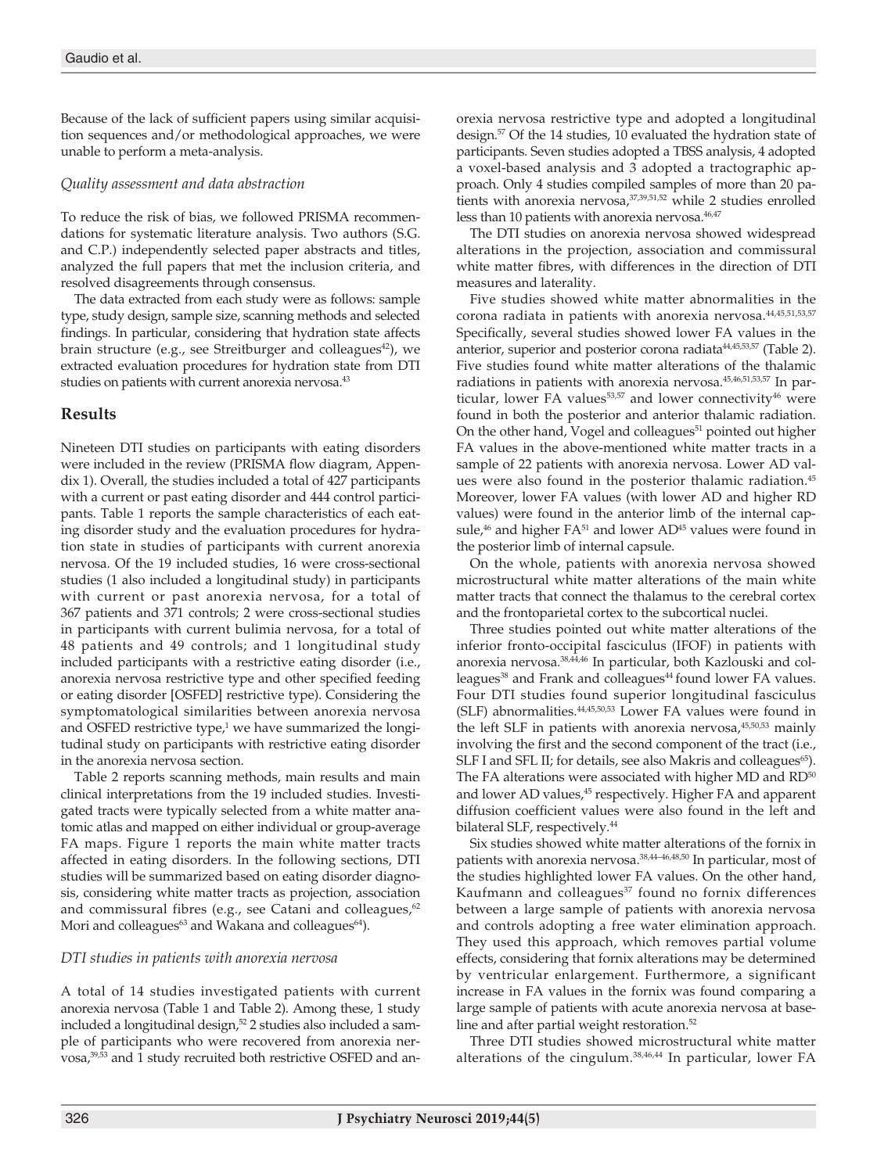Because of the lack of sufficient papers using similar acquisition sequences and/or methodological approaches, we were unable to perform a meta-analysis.

## *Quality assessment and data abstraction*

To reduce the risk of bias, we followed PRISMA recommendations for systematic literature analysis. Two authors (S.G. and C.P.) independently selected paper abstracts and titles, analyzed the full papers that met the inclusion criteria, and resolved disagreements through consensus.

The data extracted from each study were as follows: sample type, study design, sample size, scanning methods and selected findings. In particular, considering that hydration state affects brain structure (e.g., see Streitburger and colleagues $42$ ), we extracted evaluation procedures for hydration state from DTI studies on patients with current anorexia nervosa.<sup>43</sup>

# **Results**

Nineteen DTI studies on participants with eating disorders were included in the review (PRISMA flow diagram, Appendix 1). Overall, the studies included a total of 427 participants with a current or past eating disorder and 444 control participants. Table 1 reports the sample characteristics of each eating disorder study and the evaluation procedures for hydration state in studies of participants with current anorexia nervosa. Of the 19 included studies, 16 were cross-sectional studies (1 also included a longitudinal study) in participants with current or past anorexia nervosa, for a total of 367 patients and 371 controls; 2 were cross-sectional studies in participants with current bulimia nervosa, for a total of 48 patients and 49 controls; and 1 longitudinal study included participants with a restrictive eating disorder (i.e., anorexia nervosa restrictive type and other specified feeding or eating disorder [OSFED] restrictive type). Considering the symptomatological similarities between anorexia nervosa and OSFED restrictive type, $1$  we have summarized the longitudinal study on participants with restrictive eating disorder in the anorexia nervosa section.

Table 2 reports scanning methods, main results and main clinical interpretations from the 19 included studies. Investigated tracts were typically selected from a white matter anatomic atlas and mapped on either individual or group-average FA maps. Figure 1 reports the main white matter tracts affected in eating disorders. In the following sections, DTI studies will be summarized based on eating disorder diagnosis, considering white matter tracts as projection, association and commissural fibres (e.g., see Catani and colleagues, $62$ Mori and colleagues<sup>63</sup> and Wakana and colleagues<sup>64</sup>).

### *DTI studies in patients with anorexia nervosa*

A total of 14 studies investigated patients with current anorexia nervosa (Table 1 and Table 2). Among these, 1 study included a longitudinal design,<sup>52</sup> 2 studies also included a sample of participants who were recovered from anorexia nervosa,39,53 and 1 study recruited both restrictive OSFED and anorexia nervosa restrictive type and adopted a longitudinal design.57 Of the 14 studies, 10 evaluated the hydration state of participants. Seven studies adopted a TBSS analysis, 4 adopted a voxel-based analysis and 3 adopted a tractographic approach. Only 4 studies compiled samples of more than 20 patients with anorexia nervosa,  $37,39,51,52$  while 2 studies enrolled less than 10 patients with anorexia nervosa.46,47

The DTI studies on anorexia nervosa showed widespread alterations in the projection, association and commissural white matter fibres, with differences in the direction of DTI measures and laterality.

Five studies showed white matter abnormalities in the corona radiata in patients with anorexia nervosa.44,45,51,53,57 Specifically, several studies showed lower FA values in the anterior, superior and posterior corona radiata<sup>44,45,53,57</sup> (Table 2). Five studies found white matter alterations of the thalamic radiations in patients with anorexia nervosa.<sup>45,46,51,53,57</sup> In particular, lower FA values $53,57$  and lower connectivity<sup>46</sup> were found in both the posterior and anterior thalamic radiation. On the other hand, Vogel and colleagues<sup>51</sup> pointed out higher FA values in the above-mentioned white matter tracts in a sample of 22 patients with anorexia nervosa. Lower AD values were also found in the posterior thalamic radiation.45 Moreover, lower FA values (with lower AD and higher RD values) were found in the anterior limb of the internal capsule, $46$  and higher  $FA^{51}$  and lower  $AD^{45}$  values were found in the posterior limb of internal capsule.

On the whole, patients with anorexia nervosa showed microstructural white matter alterations of the main white matter tracts that connect the thalamus to the cerebral cortex and the frontoparietal cortex to the subcortical nuclei.

Three studies pointed out white matter alterations of the inferior fronto-occipital fasciculus (IFOF) in patients with anorexia nervosa.38,44,46 In particular, both Kazlouski and colleagues<sup>38</sup> and Frank and colleagues<sup>44</sup> found lower FA values. Four DTI studies found superior longitudinal fasciculus (SLF) abnormalities.44,45,50,53 Lower FA values were found in the left SLF in patients with anorexia nervosa, 45,50,53 mainly involving the first and the second component of the tract (i.e., SLF I and SFL II; for details, see also Makris and colleagues<sup> $65$ </sup>). The FA alterations were associated with higher MD and  $RD^{50}$ and lower AD values,<sup>45</sup> respectively. Higher FA and apparent diffusion coefficient values were also found in the left and bilateral SLF, respectively.44

Six studies showed white matter alterations of the fornix in patients with anorexia nervosa.<sup>38,44-46,48,50</sup> In particular, most of the studies highlighted lower FA values. On the other hand, Kaufmann and colleagues<sup>37</sup> found no fornix differences between a large sample of patients with anorexia nervosa and controls adopting a free water elimination approach. They used this approach, which removes partial volume effects, considering that fornix alterations may be determined by ventricular enlargement. Furthermore, a significant increase in FA values in the fornix was found comparing a large sample of patients with acute anorexia nervosa at baseline and after partial weight restoration.<sup>52</sup>

Three DTI studies showed microstructural white matter alterations of the cingulum.38,46,44 In particular, lower FA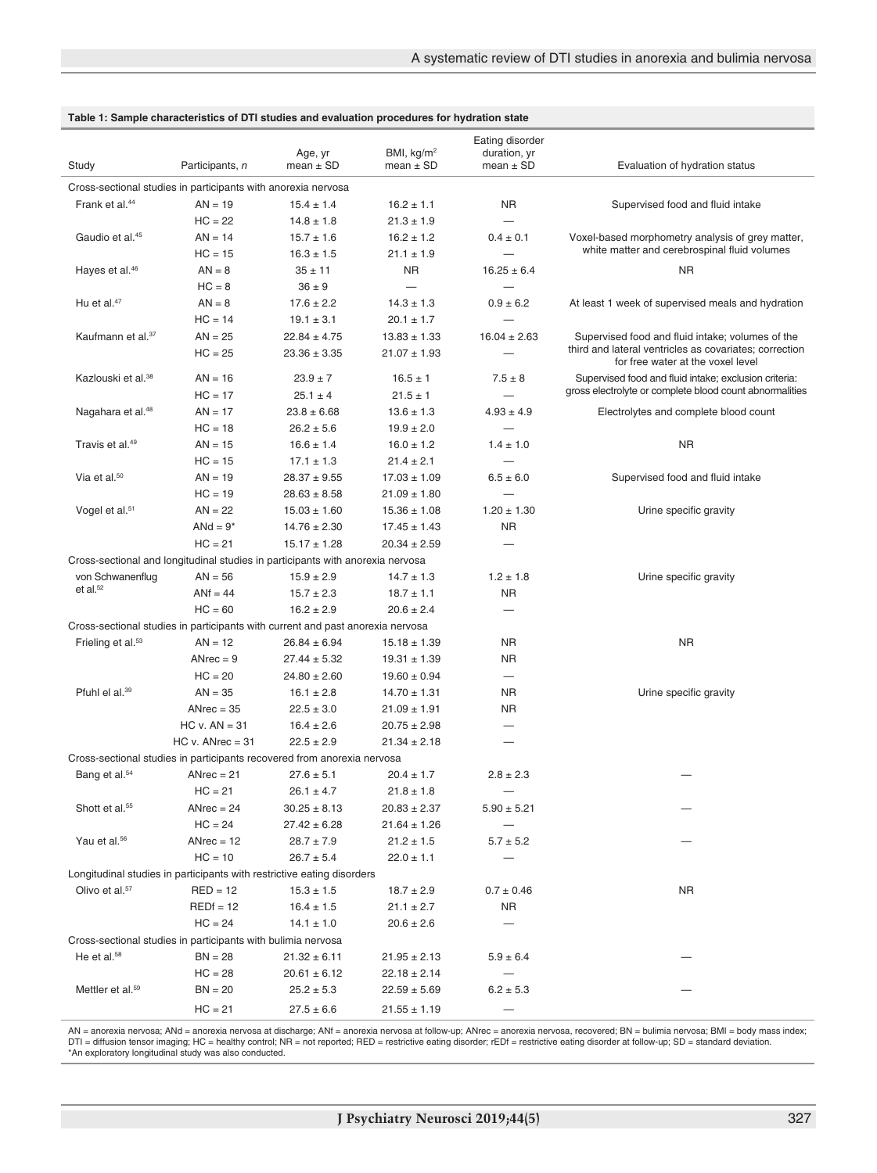|                                | Table 1: Sample characteristics of DTI studies and evaluation procedures for hydration state |                                      |                                      |                                                  |                                                                                                                                                 |
|--------------------------------|----------------------------------------------------------------------------------------------|--------------------------------------|--------------------------------------|--------------------------------------------------|-------------------------------------------------------------------------------------------------------------------------------------------------|
| Study                          | Participants, n                                                                              | Age, yr<br>$mean \pm SD$             | BMI, $kg/m2$<br>$mean \pm SD$        | Eating disorder<br>duration, yr<br>$mean \pm SD$ | Evaluation of hydration status                                                                                                                  |
|                                |                                                                                              |                                      |                                      |                                                  |                                                                                                                                                 |
| Frank et al. <sup>44</sup>     | Cross-sectional studies in participants with anorexia nervosa<br>$AN = 19$                   | $15.4 \pm 1.4$                       | $16.2 \pm 1.1$                       | NR.                                              | Supervised food and fluid intake                                                                                                                |
|                                |                                                                                              |                                      |                                      |                                                  |                                                                                                                                                 |
|                                | $HC = 22$                                                                                    | $14.8 \pm 1.8$                       | $21.3 \pm 1.9$                       | $\overline{\phantom{0}}$                         |                                                                                                                                                 |
| Gaudio et al. <sup>45</sup>    | $AN = 14$                                                                                    | $15.7 \pm 1.6$                       | $16.2 \pm 1.2$                       | $0.4 \pm 0.1$                                    | Voxel-based morphometry analysis of grey matter,<br>white matter and cerebrospinal fluid volumes                                                |
|                                | $HC = 15$<br>$AN = 8$                                                                        | $16.3 \pm 1.5$                       | $21.1 \pm 1.9$                       |                                                  |                                                                                                                                                 |
| Hayes et al. <sup>46</sup>     | $HC = 8$                                                                                     | $35 \pm 11$                          | <b>NR</b>                            | $16.25 \pm 6.4$                                  | <b>NR</b>                                                                                                                                       |
|                                | $AN = 8$                                                                                     | $36 \pm 9$                           |                                      |                                                  |                                                                                                                                                 |
| Hu et al. <sup>47</sup>        |                                                                                              | $17.6 \pm 2.2$                       | $14.3 \pm 1.3$                       | $0.9 \pm 6.2$                                    | At least 1 week of supervised meals and hydration                                                                                               |
|                                | $HC = 14$                                                                                    | $19.1 \pm 3.1$                       | $20.1 \pm 1.7$                       |                                                  |                                                                                                                                                 |
| Kaufmann et al. <sup>37</sup>  | $AN = 25$<br>$HC = 25$                                                                       | $22.84 \pm 4.75$<br>$23.36 \pm 3.35$ | $13.83 \pm 1.33$<br>$21.07 \pm 1.93$ | $16.04 \pm 2.63$                                 | Supervised food and fluid intake; volumes of the<br>third and lateral ventricles as covariates; correction<br>for free water at the voxel level |
| Kazlouski et al. <sup>38</sup> | $AN = 16$                                                                                    | $23.9 \pm 7$                         | $16.5 \pm 1$                         | $7.5 \pm 8$                                      | Supervised food and fluid intake; exclusion criteria:                                                                                           |
|                                | $HC = 17$                                                                                    | $25.1 \pm 4$                         | $21.5 \pm 1$                         |                                                  | gross electrolyte or complete blood count abnormalities                                                                                         |
| Nagahara et al. <sup>48</sup>  | $AN = 17$                                                                                    | $23.8 \pm 6.68$                      | $13.6 \pm 1.3$                       | $4.93 \pm 4.9$                                   | Electrolytes and complete blood count                                                                                                           |
|                                | $HC = 18$                                                                                    | $26.2 \pm 5.6$                       | $19.9 \pm 2.0$                       | —                                                |                                                                                                                                                 |
| Travis et al. <sup>49</sup>    | $AN = 15$                                                                                    | $16.6 \pm 1.4$                       | $16.0 \pm 1.2$                       | $1.4 \pm 1.0$                                    | <b>NR</b>                                                                                                                                       |
|                                | $HC = 15$                                                                                    | $17.1 \pm 1.3$                       | $21.4 \pm 2.1$                       |                                                  |                                                                                                                                                 |
| Via et al. <sup>50</sup>       | $AN = 19$                                                                                    | $28.37 \pm 9.55$                     | $17.03 \pm 1.09$                     | $6.5 \pm 6.0$                                    | Supervised food and fluid intake                                                                                                                |
|                                | $HC = 19$                                                                                    | $28.63 \pm 8.58$                     | $21.09 \pm 1.80$                     | $\overline{\phantom{0}}$                         |                                                                                                                                                 |
| Vogel et al. <sup>51</sup>     | $AN = 22$                                                                                    | $15.03 \pm 1.60$                     | $15.36 \pm 1.08$                     | $1.20 \pm 1.30$                                  | Urine specific gravity                                                                                                                          |
|                                | $AMd = 9*$                                                                                   | $14.76 \pm 2.30$                     | $17.45 \pm 1.43$                     | ΝR                                               |                                                                                                                                                 |
|                                | $HC = 21$                                                                                    | $15.17 \pm 1.28$                     | $20.34 \pm 2.59$                     | $\overline{\phantom{0}}$                         |                                                                                                                                                 |
|                                | Cross-sectional and longitudinal studies in participants with anorexia nervosa               |                                      |                                      |                                                  |                                                                                                                                                 |
| von Schwanenflug               | $AN = 56$                                                                                    | $15.9 \pm 2.9$                       | $14.7 \pm 1.3$                       | $1.2 \pm 1.8$                                    | Urine specific gravity                                                                                                                          |
| et al. $52$                    | $ANf = 44$                                                                                   | $15.7 \pm 2.3$                       | $18.7 \pm 1.1$                       | <b>NR</b>                                        |                                                                                                                                                 |
|                                | $HC = 60$                                                                                    | $16.2 \pm 2.9$                       | $20.6 \pm 2.4$                       |                                                  |                                                                                                                                                 |
|                                | Cross-sectional studies in participants with current and past anorexia nervosa               |                                      |                                      |                                                  |                                                                                                                                                 |
| Frieling et al. <sup>53</sup>  | $AN = 12$                                                                                    | $26.84 \pm 6.94$                     | $15.18 \pm 1.39$                     | ΝR                                               | <b>NR</b>                                                                                                                                       |
|                                | $ANrec = 9$                                                                                  | $27.44 \pm 5.32$                     | $19.31 \pm 1.39$                     | ΝR                                               |                                                                                                                                                 |
|                                | $HC = 20$                                                                                    | $24.80 \pm 2.60$                     | $19.60 \pm 0.94$                     | $\overline{\phantom{0}}$                         |                                                                                                                                                 |
| Pfuhl el al. <sup>39</sup>     | $AN = 35$                                                                                    | $16.1 \pm 2.8$                       | $14.70 \pm 1.31$                     | NR.                                              | Urine specific gravity                                                                                                                          |
|                                | $ANrec = 35$                                                                                 | $22.5 \pm 3.0$                       | $21.09 \pm 1.91$                     | ΝR                                               |                                                                                                                                                 |
|                                | $HCv. AN = 31$                                                                               | $16.4 \pm 2.6$                       | $20.75 \pm 2.98$                     | —                                                |                                                                                                                                                 |
|                                | $HC v. ANrec = 31$                                                                           | $22.5 \pm 2.9$                       | $21.34 \pm 2.18$                     | $\overline{\phantom{0}}$                         |                                                                                                                                                 |
|                                | Cross-sectional studies in participants recovered from anorexia nervosa                      |                                      |                                      |                                                  |                                                                                                                                                 |
| Bang et al. <sup>54</sup>      | $ANrec = 21$                                                                                 | $27.6 \pm 5.1$                       | $20.4 \pm 1.7$                       | $2.8 \pm 2.3$                                    |                                                                                                                                                 |
|                                | $HC = 21$                                                                                    | $26.1 \pm 4.7$                       | $21.8 \pm 1.8$                       |                                                  |                                                                                                                                                 |
| Shott et al. <sup>55</sup>     | $ANrec = 24$                                                                                 | $30.25 \pm 8.13$                     | $20.83 \pm 2.37$                     | $5.90 \pm 5.21$                                  |                                                                                                                                                 |
|                                | $HC = 24$                                                                                    | $27.42 \pm 6.28$                     | $21.64 \pm 1.26$                     | $\overline{\phantom{0}}$                         |                                                                                                                                                 |
| Yau et al. <sup>56</sup>       | $ANrec = 12$                                                                                 | $28.7 \pm 7.9$                       | $21.2 \pm 1.5$                       | $5.7 \pm 5.2$                                    |                                                                                                                                                 |
|                                | $HC = 10$                                                                                    | $26.7 \pm 5.4$                       | $22.0 \pm 1.1$                       |                                                  |                                                                                                                                                 |
|                                | Longitudinal studies in participants with restrictive eating disorders                       |                                      |                                      |                                                  |                                                                                                                                                 |
| Olivo et al. <sup>57</sup>     | $RED = 12$                                                                                   | $15.3 \pm 1.5$                       | $18.7 \pm 2.9$                       | $0.7 \pm 0.46$                                   | <b>NR</b>                                                                                                                                       |
|                                | $REDf = 12$                                                                                  | $16.4 \pm 1.5$                       | $21.1 \pm 2.7$                       | ΝR                                               |                                                                                                                                                 |
|                                | $HC = 24$                                                                                    | $14.1 \pm 1.0$                       | $20.6 \pm 2.6$                       |                                                  |                                                                                                                                                 |
|                                | Cross-sectional studies in participants with bulimia nervosa                                 |                                      |                                      |                                                  |                                                                                                                                                 |
| He et al. <sup>58</sup>        | $BN = 28$                                                                                    | $21.32 \pm 6.11$                     | $21.95 \pm 2.13$                     | $5.9 \pm 6.4$                                    |                                                                                                                                                 |
|                                | $HC = 28$                                                                                    | $20.61 \pm 6.12$                     | $22.18 \pm 2.14$                     |                                                  |                                                                                                                                                 |
| Mettler et al. <sup>59</sup>   | $BN = 20$                                                                                    | $25.2 \pm 5.3$                       | $22.59 \pm 5.69$                     | $6.2 \pm 5.3$                                    |                                                                                                                                                 |
|                                | $HC = 21$                                                                                    | $27.5 \pm 6.6$                       | $21.55 \pm 1.19$                     |                                                  |                                                                                                                                                 |

AN = anorexia nervosa; ANd = anorexia nervosa at discharge; ANf = anorexia nervosa at follow-up; ANrec = anorexia nervosa, recovered; BN = bulimia nervosa; BMI = body mass index;<br>DTI = diffusion tensor imaging; HC = healt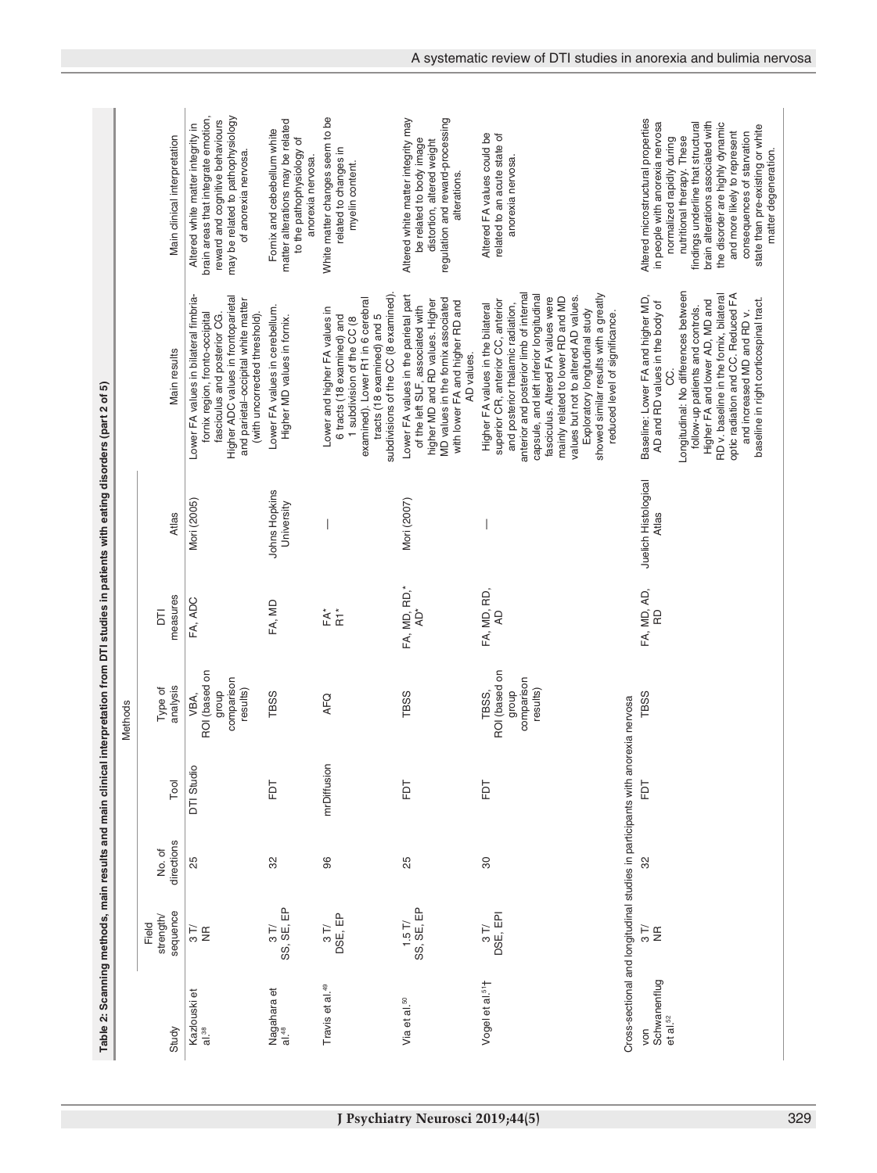|                                             |                                     |                      |                                                                                | Methods                                                   |                                 |                               |                                                                                                                                                                                                                                                                                                                                                                                                                                    |                                                                                                                                                                                                                                                                                                                                                                          |
|---------------------------------------------|-------------------------------------|----------------------|--------------------------------------------------------------------------------|-----------------------------------------------------------|---------------------------------|-------------------------------|------------------------------------------------------------------------------------------------------------------------------------------------------------------------------------------------------------------------------------------------------------------------------------------------------------------------------------------------------------------------------------------------------------------------------------|--------------------------------------------------------------------------------------------------------------------------------------------------------------------------------------------------------------------------------------------------------------------------------------------------------------------------------------------------------------------------|
| Study                                       | sequence<br>strength/<br>Field      | directions<br>No. of | Tool                                                                           | analysis<br>Type of                                       | measures<br>Б                   | Atlas                         | Main results                                                                                                                                                                                                                                                                                                                                                                                                                       | Main clinical interpretation                                                                                                                                                                                                                                                                                                                                             |
| Kazlouski et<br>al. <sup>38</sup>           | $\frac{5}{4}$                       | 25                   | DTI Studio                                                                     | ROI (based on<br>comparison<br>dhoub<br>results)<br>VBA,  | FA, ADC                         | Mori (2005)                   | Lower FA values in bilateral fimbria-<br>Higher ADC values in frontoparietal<br>and parietal-occipital white matter<br>fornix region, fronto-occipital<br>(with uncorrected threshold).<br>fasciculus and posterior CG.                                                                                                                                                                                                            | brain areas that integrate emotion,<br>may be related to pathophysiology<br>reward and cognitive behaviours<br>Altered white matter integrity in<br>of anorexia nervosa.                                                                                                                                                                                                 |
| Nagahara et<br>al. <sup>48</sup>            | SS, SE, EP<br>$3 \frac{1}{2}$       | 32                   | FDT                                                                            | <b>TBSS</b>                                               | FA, MD                          | Johns Hopkins<br>University   | Lower FA values in cerebellum.<br>Higher MD values in fornix.                                                                                                                                                                                                                                                                                                                                                                      | matter alterations may be related<br>Fornix and cebebellum white<br>to the pathophysiology of<br>anorexia nervosa                                                                                                                                                                                                                                                        |
| Travis et al. <sup>49</sup>                 | DSE, EP<br>3 T/                     | 96                   | mrDiffusion                                                                    | <b>AFQ</b>                                                | $\frac{*}{E}$<br>$FA*$          |                               | subdivisions of the CC (8 examined).<br>examined). Lower R1 in 6 cerebral<br>Lower and higher FA values in<br>tracts (18 examined) and 5<br>6 tracts (18 examined) and<br>1 subdivision of the CC (8                                                                                                                                                                                                                               | White matter changes seem to be<br>related to changes in<br>myelin content.                                                                                                                                                                                                                                                                                              |
| Via et al. <sup>50</sup>                    | SS, SE, EP<br>$1.5$ T/              | 25                   | FDT                                                                            | <b>TBSS</b>                                               | FA, MD, RD,*<br>ÅD <sup>*</sup> | Mori (2007)                   | Lower FA values in the parietal part<br>MD values in the fornix associated<br>higher MD and RD values. Higher<br>with lower FA and higher RD and<br>of the left SLF, associated with<br>AD values.                                                                                                                                                                                                                                 | regulation and reward-processing<br>Altered white matter integrity may<br>be related to body image<br>distortion, altered weight<br>alterations.                                                                                                                                                                                                                         |
| Vogel et al. <sup>51</sup>                  | DSE, EPI<br>3T/                     | 30                   | FDT                                                                            | ROI (based on<br>comparison<br>group<br>results)<br>TBSS, | FA, MD, RD,<br>Q                |                               | anterior and posterior limb of internal<br>showed similar results with a greatly<br>capsule, and left inferior longitudinal<br>mainly related to lower RD and MD<br>values but not to altered AD values.<br>fasciculus. Altered FA values were<br>superior CR, anterior CC, anterior<br>Higher FA values in the bilateral<br>and posterior thalamic radiation,<br>Exploratory longitudinal study<br>reduced level of significance. | Altered FA values could be<br>related to an acute state of<br>anorexia nervosa.                                                                                                                                                                                                                                                                                          |
|                                             |                                     |                      | Cross-sectional and longitudinal studies in participants with anorexia nervosa |                                                           |                                 |                               |                                                                                                                                                                                                                                                                                                                                                                                                                                    |                                                                                                                                                                                                                                                                                                                                                                          |
| Schwanenflug<br>et al. <sup>52</sup><br>yon | $\sqrt{1}$<br>$\mathop{\mathsf{E}}$ | 32                   | FDT                                                                            | <b>TBSS</b>                                               | FA, MD, AD,<br>G                | Juelich Histological<br>Atlas | Longitudinal: No differences between<br>optic radiation and CC. Reduced FA<br>RD v. baseline in the fornix, bilateral<br>Baseline: Lower FA and higher MD,<br>baseline in right corticospinal tract.<br>Higher FA and lower AD, MD and<br>AD and RD values in the body of<br>follow-up patients and controls.<br>and increased MD and RD v.                                                                                        | Altered microstructural properties<br>in people with anorexia nervosa<br>brain alterations associated with<br>findings underline that structural<br>the disorder are highly dynamic<br>state than pre-existing or white<br>and more likely to represent<br>consequences of starvation<br>normalized rapidly during<br>nutritional therapy. These<br>matter degeneration. |

**Table 2: Scanning methods, main results and main clinical interpretation from DTI studies in patients with eating disorders (part 2 of 5)**

Table 2: Scanning methods, main results and main clinical interpretation from DTI studies in patients with eating disorders (part 2 of 5)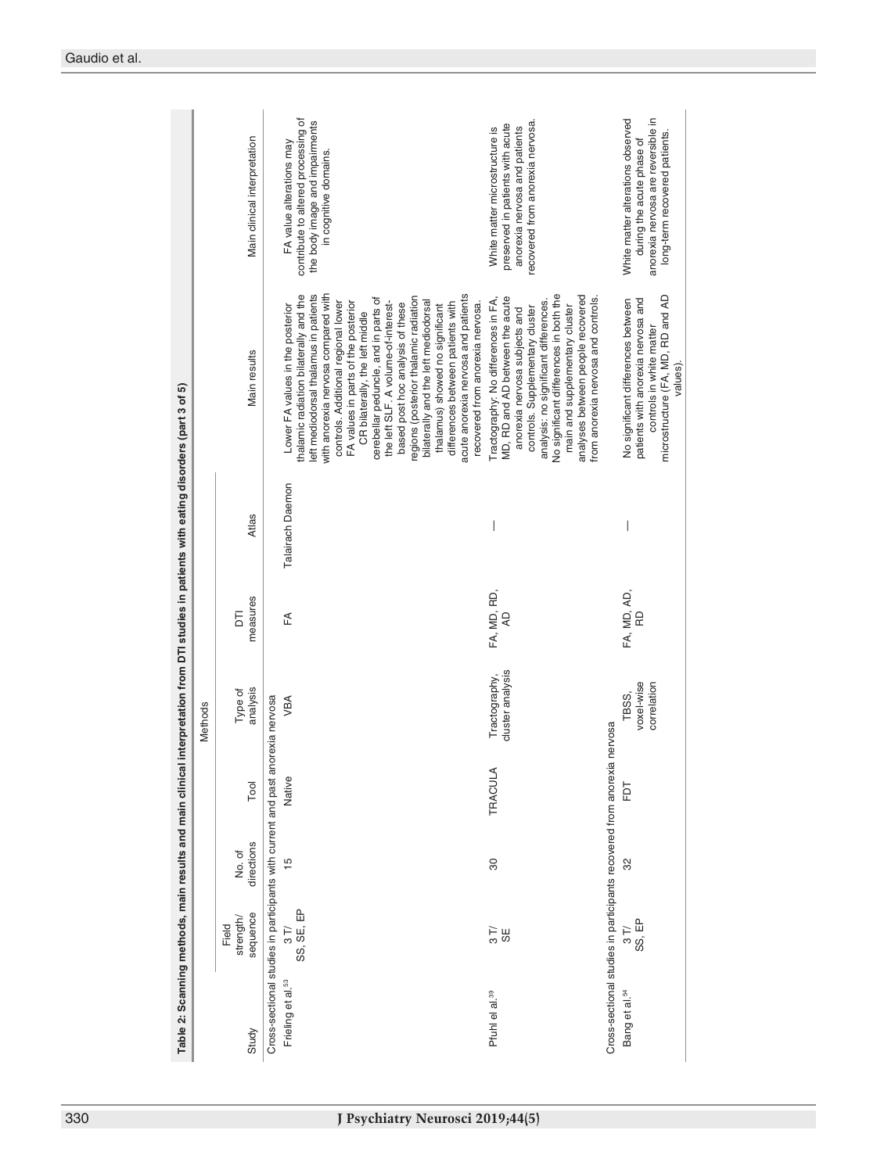|                                                                                                                                           | Main clinical interpretation   |                                                               | contribute to altered processing of<br>the body image and impairments<br>FA value alterations may<br>in cognitive domains.                                                                                                                                                                                                                                                                                                                                                                                                                                                                                                         | recovered from anorexia nervosa.<br>preserved in patients with acute<br>anorexia nervosa and patients<br>White matter microstructure is                                                                                                                                                                                                     |                                                                         | anorexia nervosa are reversible in<br>White matter alterations observed<br>long-term recovered patients.<br>during the acute phase of                 |
|-------------------------------------------------------------------------------------------------------------------------------------------|--------------------------------|---------------------------------------------------------------|------------------------------------------------------------------------------------------------------------------------------------------------------------------------------------------------------------------------------------------------------------------------------------------------------------------------------------------------------------------------------------------------------------------------------------------------------------------------------------------------------------------------------------------------------------------------------------------------------------------------------------|---------------------------------------------------------------------------------------------------------------------------------------------------------------------------------------------------------------------------------------------------------------------------------------------------------------------------------------------|-------------------------------------------------------------------------|-------------------------------------------------------------------------------------------------------------------------------------------------------|
|                                                                                                                                           | Main results                   |                                                               | with anorexia nervosa compared with<br>left mediodorsal thalamus in patients<br>thalamic radiation bilaterally and the<br>acute anorexia nervosa and patients<br>cerebellar peduncle, and in parts of<br>regions (posterior thalamic radiation<br>bilaterally and the left mediodorsal<br>controls. Additional regional lower<br>the left SLF. A volume-of-interest-<br>based post hoc analysis of these<br>differences between patients with<br>FA values in parts of the posterior<br>recovered from anorexia nervosa.<br>thalamus) showed no significant<br>Lower FA values in the posterior<br>CR bilaterally, the left middle | No significant differences in both the<br>analyses between people recovered<br>MD, RD and AD between the acute<br>from anorexia nervosa and controls.<br>Tractography: No differences in FA,<br>analysis: no significant differences.<br>main and supplementary cluster<br>controls. Supplementary cluster<br>anorexia nervosa subjects and |                                                                         | microstructure (FA, MD, RD and AD<br>patients with anorexia nervosa and<br>No significant differences between<br>controls in white matter<br>values). |
| Table 2: Scanning methods, main results and main clinical interpretation from DTI studies in patients with eating disorders (part 3 of 5) | Atlas                          |                                                               | <b>Talairach Daemon</b>                                                                                                                                                                                                                                                                                                                                                                                                                                                                                                                                                                                                            |                                                                                                                                                                                                                                                                                                                                             |                                                                         |                                                                                                                                                       |
|                                                                                                                                           | measures<br>$\overline{5}$     |                                                               | £                                                                                                                                                                                                                                                                                                                                                                                                                                                                                                                                                                                                                                  | FA, MD, RD,<br>Q                                                                                                                                                                                                                                                                                                                            |                                                                         | FA, MD, AD,<br>œ                                                                                                                                      |
| Methods                                                                                                                                   | analysis<br>Type of            | anorexia nervosa                                              | VBA                                                                                                                                                                                                                                                                                                                                                                                                                                                                                                                                                                                                                                | cluster analysis<br>Tractography,                                                                                                                                                                                                                                                                                                           |                                                                         | voxel-wise<br>correlation<br>TBSS,                                                                                                                    |
|                                                                                                                                           | Tool                           |                                                               | Native                                                                                                                                                                                                                                                                                                                                                                                                                                                                                                                                                                                                                             | ⋖<br>TRACUL                                                                                                                                                                                                                                                                                                                                 | Cross-sectional studies in participants recovered from anorexia nervosa | FDT                                                                                                                                                   |
|                                                                                                                                           | directions<br>No. of           |                                                               | $\frac{15}{2}$                                                                                                                                                                                                                                                                                                                                                                                                                                                                                                                                                                                                                     | 30                                                                                                                                                                                                                                                                                                                                          |                                                                         | 32                                                                                                                                                    |
|                                                                                                                                           | sequence<br>strength/<br>Field |                                                               | SS, SE, EP<br>3T/                                                                                                                                                                                                                                                                                                                                                                                                                                                                                                                                                                                                                  | $\overline{3}$ T/<br>ΨS                                                                                                                                                                                                                                                                                                                     |                                                                         | $\frac{3 \text{ T}}{\text{SS}}$ EP                                                                                                                    |
|                                                                                                                                           | Study                          | Cross-sectional studies in participants with current and past | Frieling et al. <sup>53</sup>                                                                                                                                                                                                                                                                                                                                                                                                                                                                                                                                                                                                      | Pfuhl el al. <sup>39</sup>                                                                                                                                                                                                                                                                                                                  |                                                                         | Bang et al. <sup>54</sup>                                                                                                                             |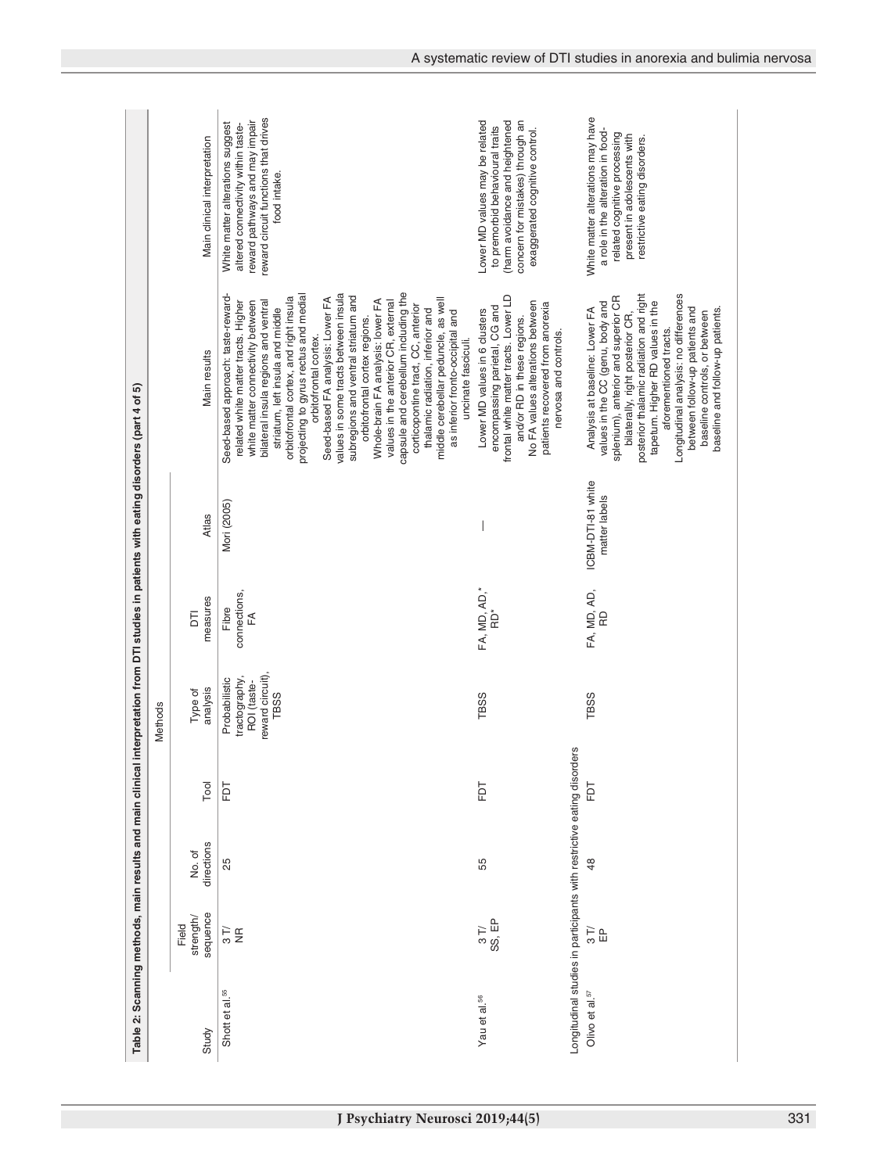|                                                                                                    |                                |                     |      |                                                                                  |                            | Table 2: Scanning methods, main results and main clinical interpretation from DTI studies in patients with eating disorders (part 4 of 5) |                                                                                                                                                                                                                                                                                                                                                                                                                                                                                                                                                                                                                                                                                                                                                            |                                                                                                                                                                           |
|----------------------------------------------------------------------------------------------------|--------------------------------|---------------------|------|----------------------------------------------------------------------------------|----------------------------|-------------------------------------------------------------------------------------------------------------------------------------------|------------------------------------------------------------------------------------------------------------------------------------------------------------------------------------------------------------------------------------------------------------------------------------------------------------------------------------------------------------------------------------------------------------------------------------------------------------------------------------------------------------------------------------------------------------------------------------------------------------------------------------------------------------------------------------------------------------------------------------------------------------|---------------------------------------------------------------------------------------------------------------------------------------------------------------------------|
|                                                                                                    |                                |                     |      | Methods                                                                          |                            |                                                                                                                                           |                                                                                                                                                                                                                                                                                                                                                                                                                                                                                                                                                                                                                                                                                                                                                            |                                                                                                                                                                           |
| Study                                                                                              | sequence<br>strength/<br>Field | directions<br>No.of | Tool | analysis<br>Type of                                                              | measures<br>БĪ             | Atlas                                                                                                                                     | Main results                                                                                                                                                                                                                                                                                                                                                                                                                                                                                                                                                                                                                                                                                                                                               | Main clinical interpretation                                                                                                                                              |
| Shott et al. <sup>55</sup>                                                                         | $\frac{1}{2}$                  | 25                  | FDT  | reward circuit),<br>tractography,<br>Probabilistic<br>ROI (taste-<br><b>TBSS</b> | connections,<br>Fibre<br>E | Mori (2005)                                                                                                                               | capsule and cerebellum including the<br>values in some tracts between insula<br>projecting to gyrus rectus and medial<br>Seed-based approach: taste-reward-<br>subregions and ventral striatum and<br>Seed-based FA analysis: Lower FA<br>orbitofrontal cortex, and right insula<br>Whole-brain FA analysis: lower FA<br>middle cerebellar peduncle, as well<br>related white matter tracts. Higher<br>white matter connectivity between<br>bilateral insula regions and ventral<br>values in the anterior CR, external<br>corticopontine tract, CC, anterior<br>striatum, left insula and middle<br>thalamic radiation, inferior and<br>as inferior fronto-occipital and<br>orbitofrontal cortex regions.<br>orbitofrontal cortex.<br>uncinate fasciculi. | eward circuit functions that drives<br>reward pathways and may impair<br>White matter alterations suggest<br>altered connectivity within taste-<br>food intake.           |
| Longitudinal studies in participants with restrictive eating disorders<br>Yau et al. <sup>56</sup> | SS, EP<br>3T/                  | 55                  | FDT  | <b>TBSS</b>                                                                      | FA, MD, AD,*<br>É          |                                                                                                                                           | frontal white matter tracts. Lower LD<br>No FA values alterations between<br>patients recovered from anorexia<br>encompassing parietal, CG and<br>Lower MD values in 6 clusters<br>and/or RD in these regions.<br>nervosa and controls.                                                                                                                                                                                                                                                                                                                                                                                                                                                                                                                    | Lower MD values may be related<br>(harm avoidance and heightened<br>concern for mistakes) through an<br>to premorbid behavioural traits<br>exaggerated cognitive control. |
| Olivo et al. <sup>57</sup>                                                                         | 3T/<br>읎                       | $\frac{8}{3}$       | ЕDТ  | <b>TBSS</b>                                                                      | FA, MD, AD,                | ICBM-DTI-81 white<br>matter labels                                                                                                        | posterior thalamic radiation and right<br>Longitudinal analysis: no differences<br>splenium), anterior and superior CR<br>values in the CC (genu, body and<br>tapetum. Higher RD values in the<br>between follow-up patients and<br>baseline and follow-up patients.<br>Analysis at baseline: Lower FA<br>bilaterally, right posterior CR,<br>baseline controls, or between<br>aforementioned tracts.                                                                                                                                                                                                                                                                                                                                                      | White matter alterations may have<br>a role in the alteration in food-<br>related cognitive processing<br>present in adolescents with<br>restrictive eating disorders.    |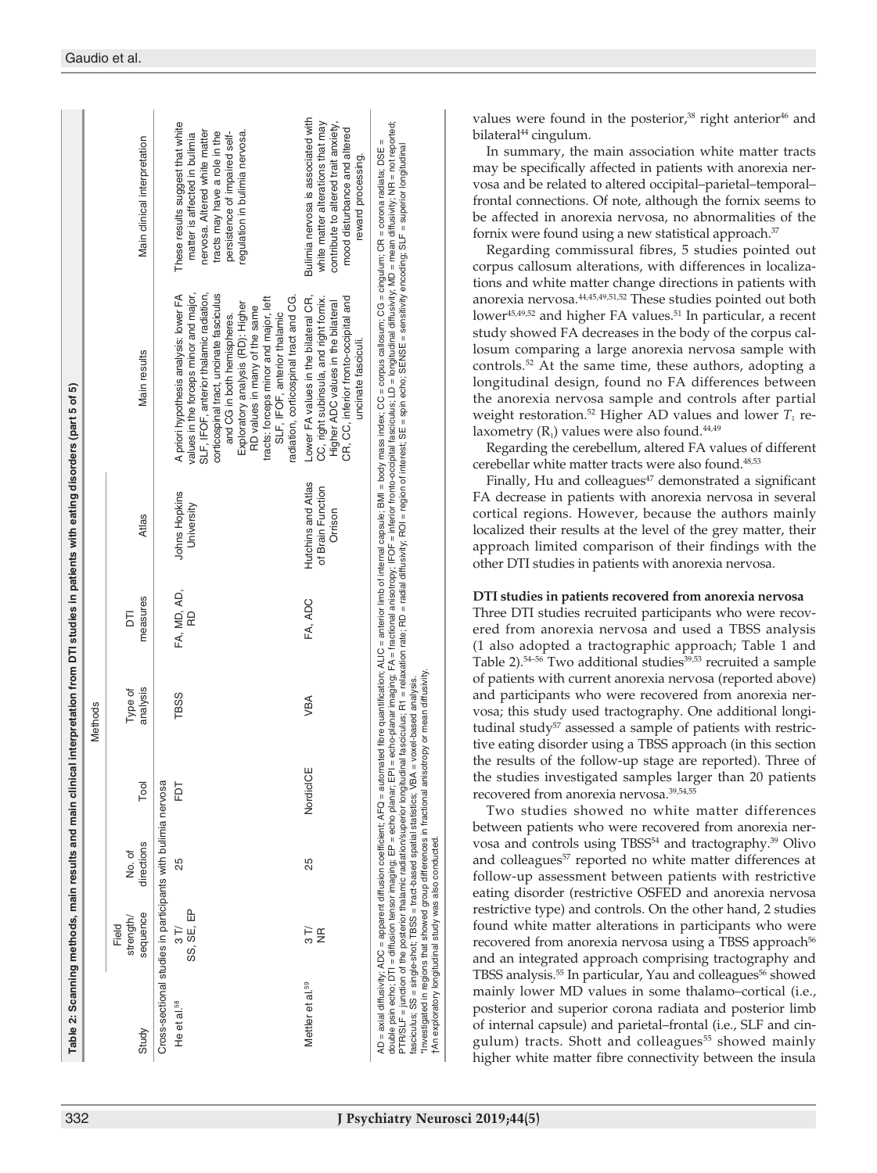|                              |                                                                                                                                                                                                                                                                                                                 |                     |           |                               |                  | Table 2: Scanning methods, main results and main clinical interpretation from DTI studies in patients with eating disorders (part 5 of 5) |                                                                                                                                                                                                                                                                                                                                                                                                                                                                                                                                                                                                                                   |                                                                                                                                                                       |
|------------------------------|-----------------------------------------------------------------------------------------------------------------------------------------------------------------------------------------------------------------------------------------------------------------------------------------------------------------|---------------------|-----------|-------------------------------|------------------|-------------------------------------------------------------------------------------------------------------------------------------------|-----------------------------------------------------------------------------------------------------------------------------------------------------------------------------------------------------------------------------------------------------------------------------------------------------------------------------------------------------------------------------------------------------------------------------------------------------------------------------------------------------------------------------------------------------------------------------------------------------------------------------------|-----------------------------------------------------------------------------------------------------------------------------------------------------------------------|
|                              |                                                                                                                                                                                                                                                                                                                 |                     |           | <b>Methods</b>                |                  |                                                                                                                                           |                                                                                                                                                                                                                                                                                                                                                                                                                                                                                                                                                                                                                                   |                                                                                                                                                                       |
| Study                        | sequence<br>strength/<br>Field                                                                                                                                                                                                                                                                                  | directions<br>No.of | Tool      | analysis<br>Type of           | measures<br>Б    | Atlas                                                                                                                                     | Main results                                                                                                                                                                                                                                                                                                                                                                                                                                                                                                                                                                                                                      | Main clinical interpretation                                                                                                                                          |
|                              | Cross-sectional studies in participants with bulimia nervosa                                                                                                                                                                                                                                                    |                     |           |                               |                  |                                                                                                                                           |                                                                                                                                                                                                                                                                                                                                                                                                                                                                                                                                                                                                                                   |                                                                                                                                                                       |
| He et al. <sup>58</sup>      | SS, SE, EP<br>$\frac{1}{2}$                                                                                                                                                                                                                                                                                     | 25                  | FDT       | <b>TBSS</b>                   | FA, MD, AD,<br>œ | Johns Hopkins<br>University                                                                                                               | values in the forceps minor and major,<br>A priori hypothesis analysis: lower FA<br>SLF, IFOF, anterior thalamic radiation,                                                                                                                                                                                                                                                                                                                                                                                                                                                                                                       | These results suggest that white<br>nervosa. Altered white matter<br>matter is affected in bulimia                                                                    |
|                              |                                                                                                                                                                                                                                                                                                                 |                     |           |                               |                  |                                                                                                                                           | corticospinal tract, uncinate fasciculus<br>radiation, corticospinal tract and CG.<br>tracts: forceps minor and major, left<br>Exploratory analysis (RD): Higher<br>RD values in many of the same<br>SLF, IFOF, anterior thalamic<br>and CG in both hemispheres.                                                                                                                                                                                                                                                                                                                                                                  | tracts may have a role in the<br>persistence of impaired self-<br>regulation in bulimia nervosa.                                                                      |
| Mettler et al. <sup>59</sup> | $\overline{37}$<br>$\frac{\alpha}{2}$                                                                                                                                                                                                                                                                           | 25                  | NordicICE | VBA                           | FA, ADC          | Hutchins and Atlas<br>of Brain Function<br>Orrison                                                                                        | Lower FA values in the bilateral CR,<br>CR, CC, inferior fronto-occipital and<br>CC, right subinsula, and right fornix.<br>Higher ADC values in the bilateral<br>uncinate fasciculi.                                                                                                                                                                                                                                                                                                                                                                                                                                              | Bulimia nervosa is associated with<br>contribute to altered trait anxiety,<br>white matter alterations that may<br>mood disturbance and altered<br>reward processing. |
|                              | fasciculus; SS = single-shot; TBSS = tract-based spatial statistics; VBA = voxel-based analysis.<br>*Investigated in regions that showed group differences in fractional an<br>AD = axial diffusivity; ADC = apparent diffusion coefficient; AFQ = au<br>t-An exploratory longitudinal study was also conducted |                     |           | isotropy or mean diffusivity. |                  |                                                                                                                                           | double psin echo; DTI = diffusion tensor irraging; EP = echo-planar; EPI = echo-planar irraging; FA = fractional anisotropy; IFOF = inferior fronto-occipital fasciculus; LD = longitudinal diffusivity; MD = mean diffusivit<br>tomated fibre quantification; ALIC = anterior limb of internal capsule; BMI = body mass index; CC = corpus callosum; CG = cingulum; CR = corona radiata; DSE =<br>PTR/SLF = junction of the posterior thatamic radiation/superior longitudinal fasoiculus; R1 = relaxation rate; RD = radial diffusivity; ROI = region of interest; SE = spin echo; SENSE = sensitivity encoding; SLF = superior |                                                                                                                                                                       |

In summary, the main association white matter tracts may be specifically affected in patients with anorexia nervosa and be related to altered occipital–parietal–temporal– frontal connections. Of note, although the fornix seems to be affected in anorexia nervosa, no abnormalities of the fornix were found using a new statistical approach.<sup>37</sup>

Regarding commissural fibres, 5 studies pointed out corpus callosum alterations, with differences in localizations and white matter change directions in patients with anorexia nervosa.44,45,49,51,52 These studies pointed out both lower<sup>45,49,52</sup> and higher FA values.<sup>51</sup> In particular, a recent study showed FA decreases in the body of the corpus callosum comparing a large anorexia nervosa sample with controls.52 At the same time, these authors, adopting a longitudinal design, found no FA differences between the anorexia nervosa sample and controls after partial weight restoration.<sup>52</sup> Higher AD values and lower  $T_1$  relaxometry  $(R_1)$  values were also found.<sup>44,49</sup>

Regarding the cerebellum, altered FA values of different cerebellar white matter tracts were also found.<sup>48,53</sup>

Finally, Hu and colleagues<sup>47</sup> demonstrated a significant FA decrease in patients with anorexia nervosa in several cortical regions. However, because the authors mainly localized their results at the level of the grey matter, their approach limited comparison of their findings with the other DTI studies in patients with anorexia nervosa.

### **DTI studies in patients recovered from anorexia nervosa**

Three DTI studies recruited participants who were recovered from anorexia nervosa and used a TBSS analysis (1 also adopted a tractographic approach; Table 1 and Table 2).<sup>54-56</sup> Two additional studies<sup>39,53</sup> recruited a sample of patients with current anorexia nervosa (reported above) and participants who were recovered from anorexia nervosa; this study used tractography. One additional longitudinal study<sup>57</sup> assessed a sample of patients with restrictive eating disorder using a TBSS approach (in this section the results of the follow-up stage are reported). Three of the studies investigated samples larger than 20 patients recovered from anorexia nervosa.39,54,55

Two studies showed no white matter differences between patients who were recovered from anorexia nervosa and controls using TBSS<sup>54</sup> and tractography.<sup>39</sup> Olivo and colleagues<sup>57</sup> reported no white matter differences at follow-up assessment between patients with restrictive eating disorder (restrictive OSFED and anorexia nervosa restrictive type) and controls. On the other hand, 2 studies found white matter alterations in participants who were recovered from anorexia nervosa using a TBSS approach<sup>56</sup> and an integrated approach comprising tractography and TBSS analysis.<sup>55</sup> In particular, Yau and colleagues<sup>56</sup> showed mainly lower MD values in some thalamo–cortical (i.e., posterior and superior corona radiata and posterior limb of internal capsule) and parietal–frontal (i.e., SLF and cingulum) tracts. Shott and colleagues<sup>55</sup> showed mainly higher white matter fibre connectivity between the insula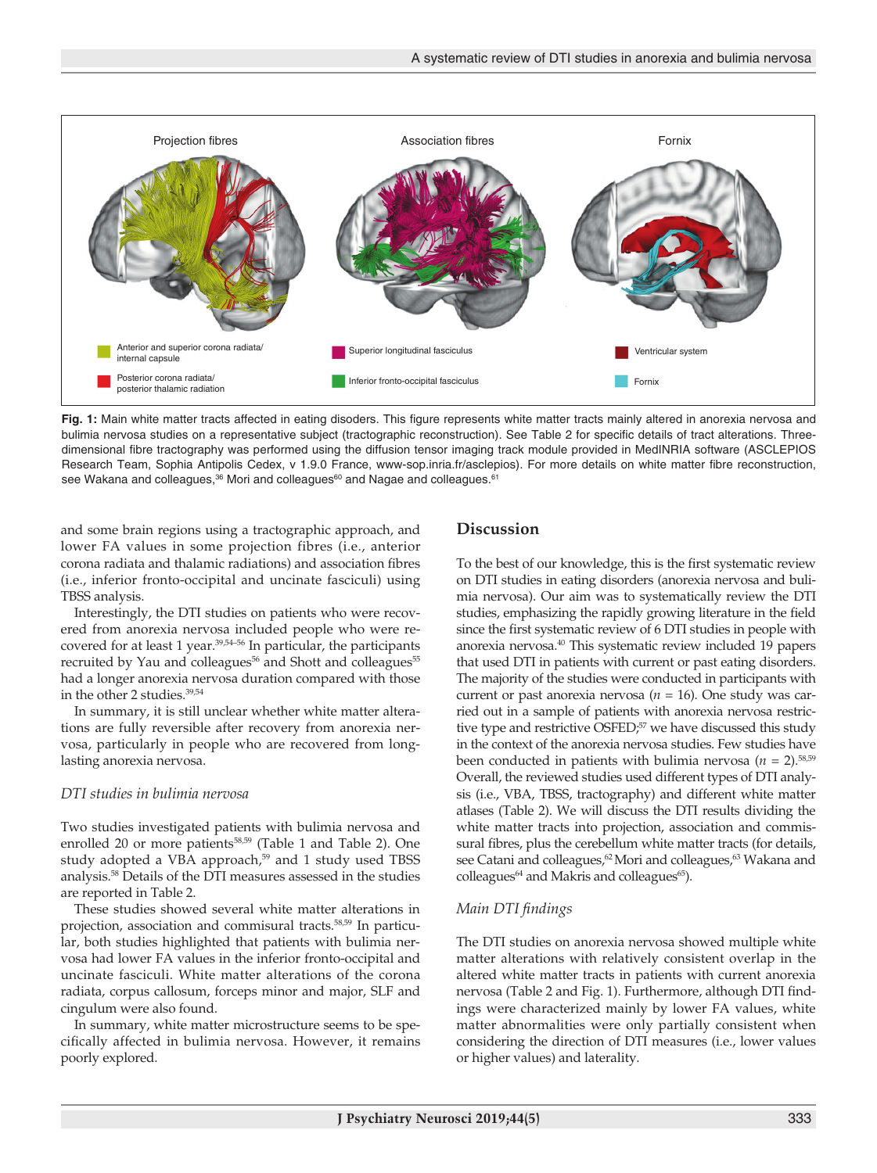

Fig. 1: Main white matter tracts affected in eating disoders. This figure represents white matter tracts mainly altered in anorexia nervosa and bulimia nervosa studies on a representative subject (tractographic reconstruction). See Table 2 for specific details of tract alterations. Threedimensional fibre tractography was performed using the diffusion tensor imaging track module provided in MedINRIA software (ASCLEPIOS Research Team, Sophia Antipolis Cedex, v 1.9.0 France, www-sop.inria.fr/asclepios). For more details on white matter fibre reconstruction, see Wakana and colleagues,<sup>36</sup> Mori and colleagues<sup>60</sup> and Nagae and colleagues.<sup>61</sup>

and some brain regions using a tractographic approach, and lower FA values in some projection fibres (i.e., anterior corona radiata and thalamic radiations) and association fibres (i.e., inferior fronto-occipital and uncinate fasciculi) using TBSS analysis.

Interestingly, the DTI studies on patients who were recovered from anorexia nervosa included people who were recovered for at least 1 year.<sup>39,54-56</sup> In particular, the participants recruited by Yau and colleagues<sup>56</sup> and Shott and colleagues<sup>55</sup> had a longer anorexia nervosa duration compared with those in the other 2 studies.39,54

In summary, it is still unclear whether white matter alterations are fully reversible after recovery from anorexia nervosa, particularly in people who are recovered from longlasting anorexia nervosa.

### *DTI studies in bulimia nervosa*

Two studies investigated patients with bulimia nervosa and enrolled 20 or more patients<sup>58,59</sup> (Table 1 and Table 2). One study adopted a VBA approach,<sup>59</sup> and 1 study used TBSS analysis.58 Details of the DTI measures assessed in the studies are reported in Table 2.

These studies showed several white matter alterations in projection, association and commisural tracts.58,59 In particular, both studies highlighted that patients with bulimia nervosa had lower FA values in the inferior fronto-occipital and uncinate fasciculi. White matter alterations of the corona radiata, corpus callosum, forceps minor and major, SLF and cingulum were also found.

In summary, white matter microstructure seems to be specifically affected in bulimia nervosa. However, it remains poorly explored.

## **Discussion**

To the best of our knowledge, this is the first systematic review on DTI studies in eating disorders (anorexia nervosa and bulimia nervosa). Our aim was to systematically review the DTI studies, emphasizing the rapidly growing literature in the field since the first systematic review of 6 DTI studies in people with anorexia nervosa.40 This systematic review included 19 papers that used DTI in patients with current or past eating disorders. The majority of the studies were conducted in participants with current or past anorexia nervosa (*n* = 16). One study was carried out in a sample of patients with anorexia nervosa restrictive type and restrictive OSFED;<sup>57</sup> we have discussed this study in the context of the anorexia nervosa studies. Few studies have been conducted in patients with bulimia nervosa ( $n = 2$ ).<sup>58,59</sup> Overall, the reviewed studies used different types of DTI analysis (i.e., VBA, TBSS, tractography) and different white matter atlases (Table 2). We will discuss the DTI results dividing the white matter tracts into projection, association and commissural fibres, plus the cerebellum white matter tracts (for details, see Catani and colleagues,<sup>62</sup> Mori and colleagues,<sup>63</sup> Wakana and  $\text{colleagues}^{64}$  and Makris and colleagues<sup>65</sup>).

## *Main DTI findings*

The DTI studies on anorexia nervosa showed multiple white matter alterations with relatively consistent overlap in the altered white matter tracts in patients with current anorexia nervosa (Table 2 and Fig. 1). Furthermore, although DTI findings were characterized mainly by lower FA values, white matter abnormalities were only partially consistent when considering the direction of DTI measures (i.e., lower values or higher values) and laterality.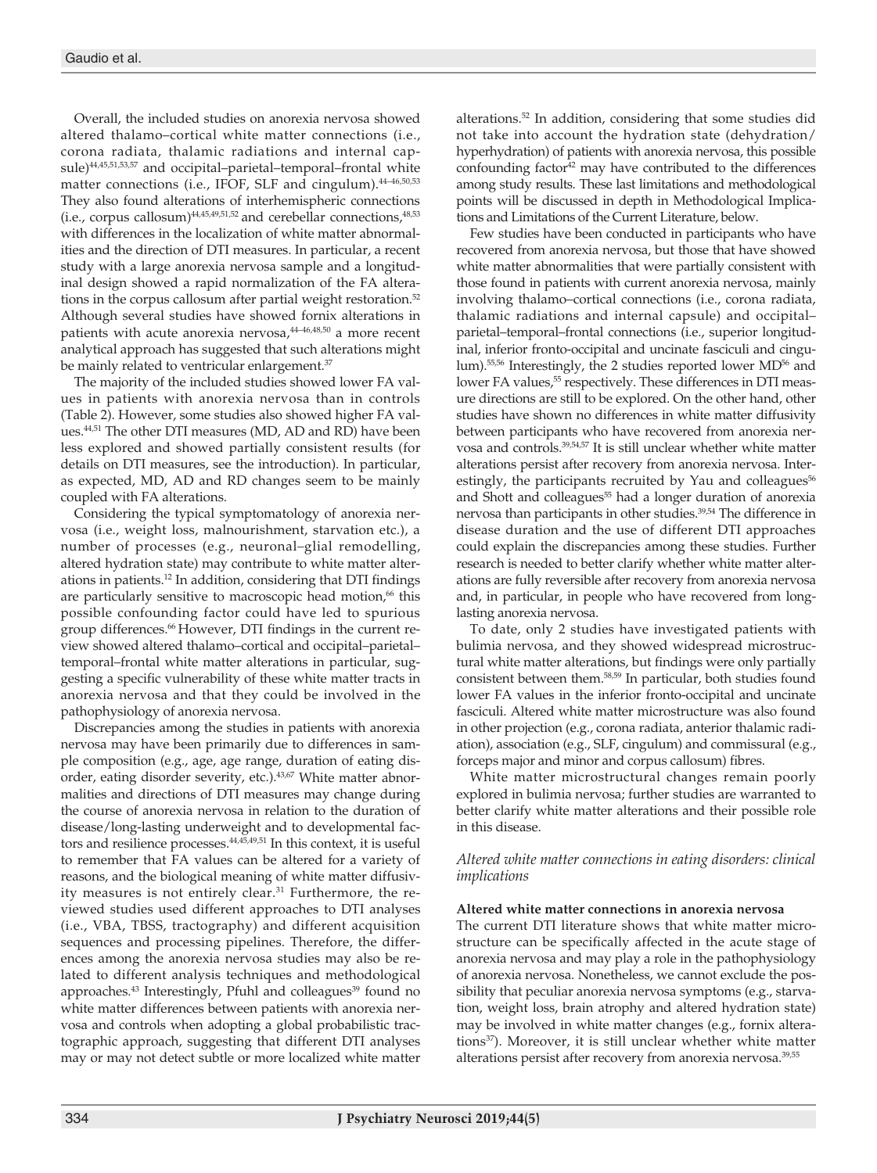Overall, the included studies on anorexia nervosa showed altered thalamo–cortical white matter connections (i.e., corona radiata, thalamic radiations and internal capsule)<sup>44,45,51,53,57</sup> and occipital-parietal-temporal-frontal white matter connections (i.e., IFOF, SLF and cingulum).<sup>44-46,50,53</sup> They also found alterations of interhemispheric connections (i.e., corpus callosum) $44,45,49,51,52$  and cerebellar connections, $48,53$ with differences in the localization of white matter abnormalities and the direction of DTI measures. In particular, a recent study with a large anorexia nervosa sample and a longitudinal design showed a rapid normalization of the FA alterations in the corpus callosum after partial weight restoration.<sup>52</sup> Although several studies have showed fornix alterations in patients with acute anorexia nervosa,<sup>44-46,48,50</sup> a more recent analytical approach has suggested that such alterations might be mainly related to ventricular enlargement.<sup>37</sup>

The majority of the included studies showed lower FA values in patients with anorexia nervosa than in controls (Table 2). However, some studies also showed higher FA values.<sup>44,51</sup> The other DTI measures (MD, AD and RD) have been less explored and showed partially consistent results (for details on DTI measures, see the introduction). In particular, as expected, MD, AD and RD changes seem to be mainly coupled with FA alterations.

Considering the typical symptomatology of anorexia nervosa (i.e., weight loss, malnourishment, starvation etc.), a number of processes (e.g., neuronal*–*glial remodelling, altered hydration state) may contribute to white matter alterations in patients.12 In addition, considering that DTI findings are particularly sensitive to macroscopic head motion,<sup>66</sup> this possible confounding factor could have led to spurious group differences.<sup>66</sup> However, DTI findings in the current review showed altered thalamo–cortical and occipital–parietal– temporal–frontal white matter alterations in particular, suggesting a specific vulnerability of these white matter tracts in anorexia nervosa and that they could be involved in the pathophysiology of anorexia nervosa.

Discrepancies among the studies in patients with anorexia nervosa may have been primarily due to differences in sample composition (e.g., age, age range, duration of eating disorder, eating disorder severity, etc.).<sup>43,67</sup> White matter abnormalities and directions of DTI measures may change during the course of anorexia nervosa in relation to the duration of disease/long-lasting underweight and to developmental factors and resilience processes.44,45,49,51 In this context, it is useful to remember that FA values can be altered for a variety of reasons, and the biological meaning of white matter diffusivity measures is not entirely clear.<sup>31</sup> Furthermore, the reviewed studies used different approaches to DTI analyses (i.e., VBA, TBSS, tractography) and different acquisition sequences and processing pipelines. Therefore, the differences among the anorexia nervosa studies may also be related to different analysis techniques and methodological approaches.<sup>43</sup> Interestingly, Pfuhl and colleagues<sup>39</sup> found no white matter differences between patients with anorexia nervosa and controls when adopting a global probabilistic tractographic approach, suggesting that different DTI analyses may or may not detect subtle or more localized white matter alterations.52 In addition, considering that some studies did not take into account the hydration state (dehydration/ hyperhydration) of patients with anorexia nervosa, this possible confounding factor $42$  may have contributed to the differences among study results. These last limitations and methodological points will be discussed in depth in Methodological Implications and Limitations of the Current Literature, below.

Few studies have been conducted in participants who have recovered from anorexia nervosa, but those that have showed white matter abnormalities that were partially consistent with those found in patients with current anorexia nervosa, mainly involving thalamo–cortical connections (i.e., corona radiata, thalamic radiations and internal capsule) and occipital– parietal–temporal–frontal connections (i.e., superior longitudinal, inferior fronto-occipital and uncinate fasciculi and cingulum).<sup>55,56</sup> Interestingly, the 2 studies reported lower MD<sup>56</sup> and lower FA values,<sup>55</sup> respectively. These differences in DTI measure directions are still to be explored. On the other hand, other studies have shown no differences in white matter diffusivity between participants who have recovered from anorexia nervosa and controls.39,54,57 It is still unclear whether white matter alterations persist after recovery from anorexia nervosa. Interestingly, the participants recruited by Yau and colleagues<sup>56</sup> and Shott and colleagues<sup>55</sup> had a longer duration of anorexia nervosa than participants in other studies.39,54 The difference in disease duration and the use of different DTI approaches could explain the discrepancies among these studies. Further research is needed to better clarify whether white matter alterations are fully reversible after recovery from anorexia nervosa and, in particular, in people who have recovered from longlasting anorexia nervosa.

To date, only 2 studies have investigated patients with bulimia nervosa, and they showed widespread microstructural white matter alterations, but findings were only partially consistent between them.58,59 In particular, both studies found lower FA values in the inferior fronto-occipital and uncinate fasciculi. Altered white matter microstructure was also found in other projection (e.g., corona radiata, anterior thalamic radiation), association (e.g., SLF, cingulum) and commissural (e.g., forceps major and minor and corpus callosum) fibres.

White matter microstructural changes remain poorly explored in bulimia nervosa; further studies are warranted to better clarify white matter alterations and their possible role in this disease.

## *Altered white matter connections in eating disorders: clinical implications*

### **Altered white matter connections in anorexia nervosa**

The current DTI literature shows that white matter microstructure can be specifically affected in the acute stage of anorexia nervosa and may play a role in the pathophysiology of anorexia nervosa. Nonetheless, we cannot exclude the possibility that peculiar anorexia nervosa symptoms (e.g., starvation, weight loss, brain atrophy and altered hydration state) may be involved in white matter changes (e.g., fornix alterations<sup>37</sup>). Moreover, it is still unclear whether white matter alterations persist after recovery from anorexia nervosa.39,55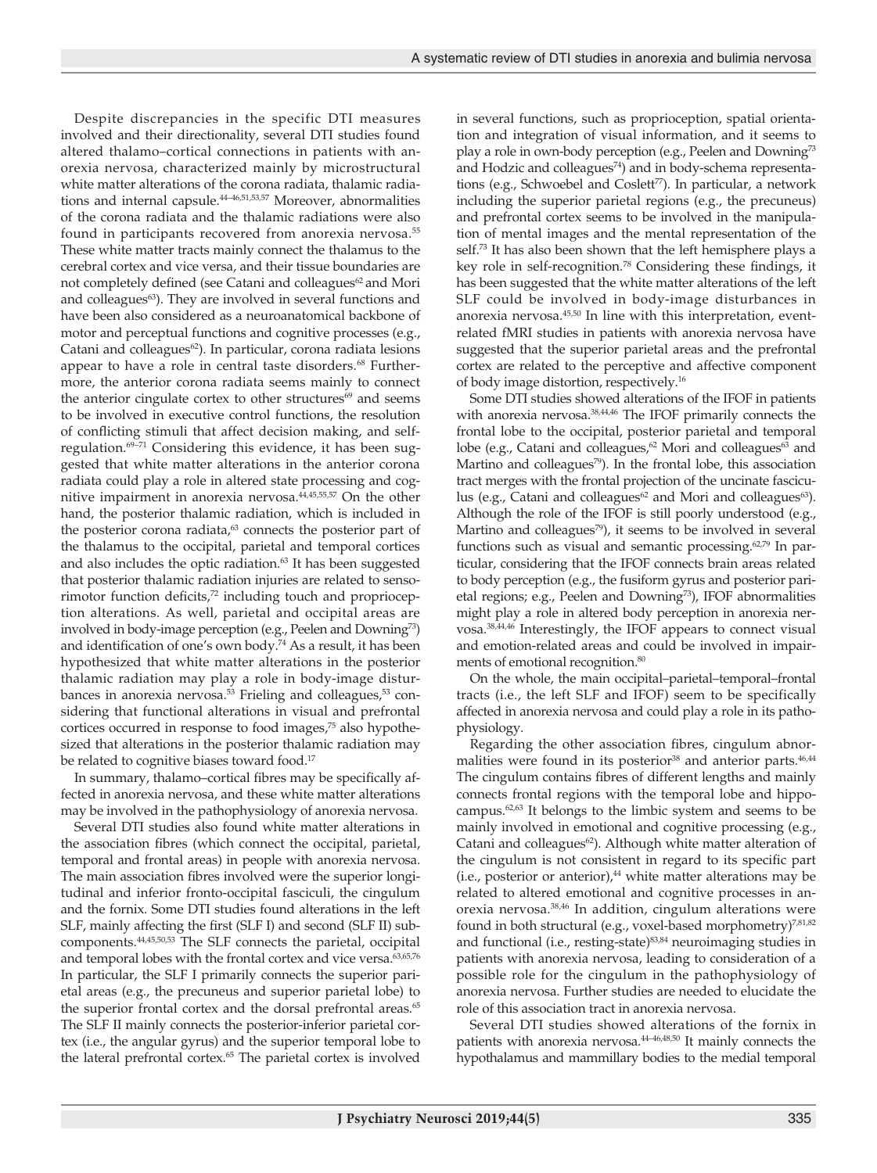Despite discrepancies in the specific DTI measures involved and their directionality, several DTI studies found altered thalamo–cortical connections in patients with anorexia nervosa, characterized mainly by microstructural white matter alterations of the corona radiata, thalamic radiations and internal capsule.<sup>44-46,51,53,57</sup> Moreover, abnormalities of the corona radiata and the thalamic radiations were also found in participants recovered from anorexia nervosa.<sup>55</sup> These white matter tracts mainly connect the thalamus to the cerebral cortex and vice versa, and their tissue boundaries are not completely defined (see Catani and colleagues<sup>62</sup> and Mori and colleagues<sup>63</sup>). They are involved in several functions and have been also considered as a neuroanatomical backbone of motor and perceptual functions and cognitive processes (e.g., Catani and colleagues<sup>62</sup>). In particular, corona radiata lesions appear to have a role in central taste disorders.<sup>68</sup> Furthermore, the anterior corona radiata seems mainly to connect the anterior cingulate cortex to other structures $69$  and seems to be involved in executive control functions, the resolution of conflicting stimuli that affect decision making, and selfregulation.<sup>69-71</sup> Considering this evidence, it has been suggested that white matter alterations in the anterior corona radiata could play a role in altered state processing and cognitive impairment in anorexia nervosa.<sup>44,45,55,57</sup> On the other hand, the posterior thalamic radiation, which is included in the posterior corona radiata,<sup>63</sup> connects the posterior part of the thalamus to the occipital, parietal and temporal cortices and also includes the optic radiation.<sup>63</sup> It has been suggested that posterior thalamic radiation injuries are related to sensorimotor function deficits,<sup>72</sup> including touch and proprioception alterations. As well, parietal and occipital areas are involved in body-image perception (e.g., Peelen and Downing<sup>73</sup>) and identification of one's own body.74 As a result, it has been hypothesized that white matter alterations in the posterior thalamic radiation may play a role in body-image disturbances in anorexia nervosa.<sup>53</sup> Frieling and colleagues,<sup>53</sup> considering that functional alterations in visual and prefrontal cortices occurred in response to food images,75 also hypothesized that alterations in the posterior thalamic radiation may be related to cognitive biases toward food.<sup>17</sup>

In summary, thalamo–cortical fibres may be specifically affected in anorexia nervosa, and these white matter alterations may be involved in the pathophysiology of anorexia nervosa.

Several DTI studies also found white matter alterations in the association fibres (which connect the occipital, parietal, temporal and frontal areas) in people with anorexia nervosa. The main association fibres involved were the superior longitudinal and inferior fronto-occipital fasciculi, the cingulum and the fornix. Some DTI studies found alterations in the left SLF, mainly affecting the first (SLF I) and second (SLF II) subcomponents.44,45,50,53 The SLF connects the parietal, occipital and temporal lobes with the frontal cortex and vice versa.<sup>63,65,76</sup> In particular, the SLF I primarily connects the superior parietal areas (e.g., the precuneus and superior parietal lobe) to the superior frontal cortex and the dorsal prefrontal areas.<sup>65</sup> The SLF II mainly connects the posterior-inferior parietal cortex (i.e., the angular gyrus) and the superior temporal lobe to the lateral prefrontal cortex.<sup>65</sup> The parietal cortex is involved

in several functions, such as proprioception, spatial orientation and integration of visual information, and it seems to play a role in own-body perception (e.g., Peelen and Downing73 and Hodzic and colleagues<sup>74</sup>) and in body-schema representations (e.g., Schwoebel and Coslett<sup>77</sup>). In particular, a network including the superior parietal regions (e.g., the precuneus) and prefrontal cortex seems to be involved in the manipulation of mental images and the mental representation of the self.<sup>73</sup> It has also been shown that the left hemisphere plays a key role in self-recognition.78 Considering these findings, it has been suggested that the white matter alterations of the left SLF could be involved in body-image disturbances in anorexia nervosa.45,50 In line with this interpretation, eventrelated fMRI studies in patients with anorexia nervosa have suggested that the superior parietal areas and the prefrontal cortex are related to the perceptive and affective component of body image distortion, respectively.16

Some DTI studies showed alterations of the IFOF in patients with anorexia nervosa.<sup>38,44,46</sup> The IFOF primarily connects the frontal lobe to the occipital, posterior parietal and temporal lobe (e.g., Catani and colleagues,<sup>62</sup> Mori and colleagues<sup>63</sup> and Martino and colleagues<sup>79</sup>). In the frontal lobe, this association tract merges with the frontal projection of the uncinate fasciculus (e.g., Catani and colleagues $62$  and Mori and colleagues $63$ ). Although the role of the IFOF is still poorly understood (e.g., Martino and colleagues<sup>79</sup>), it seems to be involved in several functions such as visual and semantic processing.62,79 In particular, considering that the IFOF connects brain areas related to body perception (e.g., the fusiform gyrus and posterior parietal regions; e.g., Peelen and Downing<sup>73</sup>), IFOF abnormalities might play a role in altered body perception in anorexia nervosa.38,44,46 Interestingly, the IFOF appears to connect visual and emotion-related areas and could be involved in impairments of emotional recognition.80

On the whole, the main occipital–parietal–temporal–frontal tracts (i.e., the left SLF and IFOF) seem to be specifically affected in anorexia nervosa and could play a role in its pathophysiology.

Regarding the other association fibres, cingulum abnormalities were found in its posterior<sup>38</sup> and anterior parts.<sup>46,44</sup> The cingulum contains fibres of different lengths and mainly connects frontal regions with the temporal lobe and hippocampus.62,63 It belongs to the limbic system and seems to be mainly involved in emotional and cognitive processing (e.g., Catani and colleagues $62$ ). Although white matter alteration of the cingulum is not consistent in regard to its specific part (i.e., posterior or anterior),<sup>44</sup> white matter alterations may be related to altered emotional and cognitive processes in anorexia nervosa.38,46 In addition, cingulum alterations were found in both structural (e.g., voxel-based morphometry)<sup>7,81,82</sup> and functional (i.e., resting-state)<sup>83,84</sup> neuroimaging studies in patients with anorexia nervosa, leading to consideration of a possible role for the cingulum in the pathophysiology of anorexia nervosa. Further studies are needed to elucidate the role of this association tract in anorexia nervosa.

Several DTI studies showed alterations of the fornix in patients with anorexia nervosa.44–46,48,50 It mainly connects the hypothalamus and mammillary bodies to the medial temporal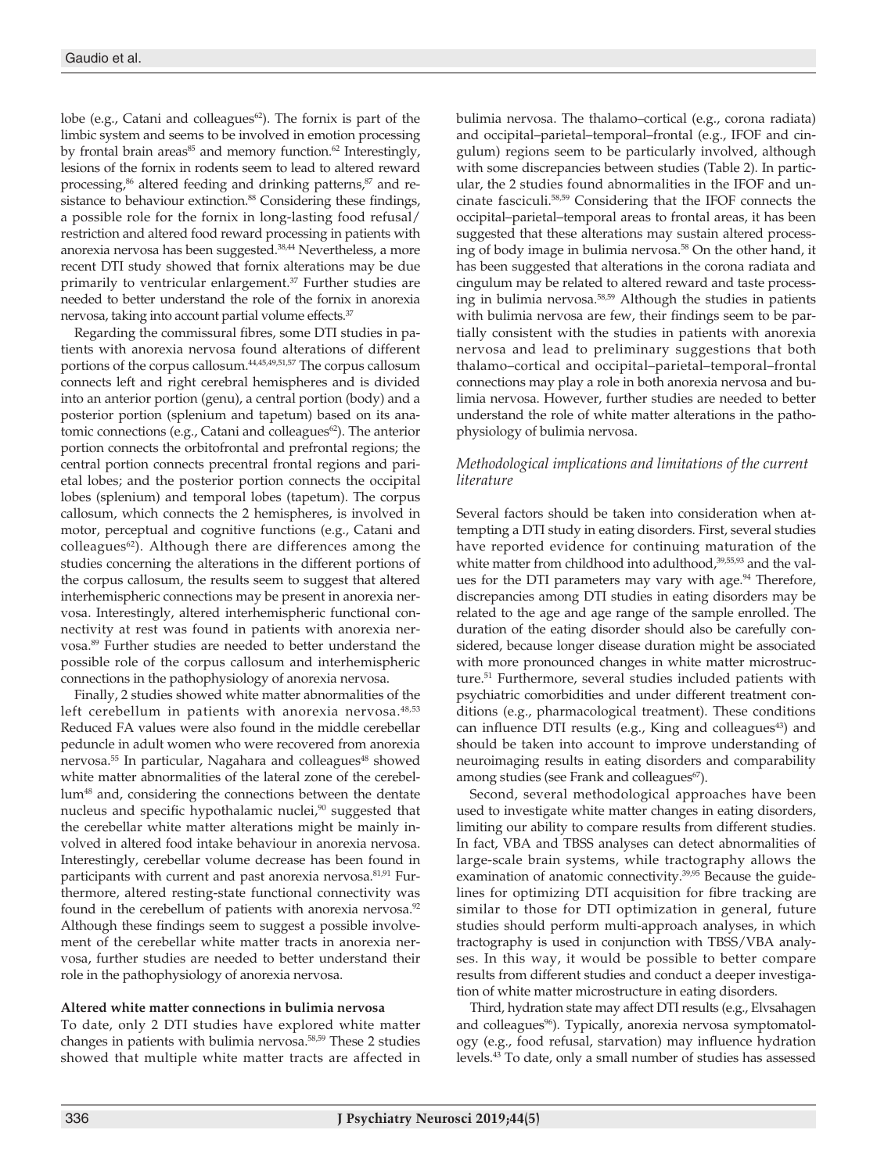lobe (e.g., Catani and colleagues $62$ ). The fornix is part of the limbic system and seems to be involved in emotion processing by frontal brain areas<sup>85</sup> and memory function.<sup>62</sup> Interestingly, lesions of the fornix in rodents seem to lead to altered reward processing,<sup>86</sup> altered feeding and drinking patterns,<sup>87</sup> and resistance to behaviour extinction.<sup>88</sup> Considering these findings, a possible role for the fornix in long-lasting food refusal/ restriction and altered food reward processing in patients with anorexia nervosa has been suggested.38,44 Nevertheless, a more recent DTI study showed that fornix alterations may be due primarily to ventricular enlargement.<sup>37</sup> Further studies are needed to better understand the role of the fornix in anorexia nervosa, taking into account partial volume effects.<sup>37</sup>

Regarding the commissural fibres, some DTI studies in patients with anorexia nervosa found alterations of different portions of the corpus callosum.<sup>44,45,49,51,57</sup> The corpus callosum connects left and right cerebral hemispheres and is divided into an anterior portion (genu), a central portion (body) and a posterior portion (splenium and tapetum) based on its anatomic connections (e.g., Catani and colleagues $62$ ). The anterior portion connects the orbitofrontal and prefrontal regions; the central portion connects precentral frontal regions and parietal lobes; and the posterior portion connects the occipital lobes (splenium) and temporal lobes (tapetum). The corpus callosum, which connects the 2 hemispheres, is involved in motor, perceptual and cognitive functions (e.g., Catani and colleagues<sup>62</sup>). Although there are differences among the studies concerning the alterations in the different portions of the corpus callosum, the results seem to suggest that altered interhemispheric connections may be present in anorexia nervosa. Interestingly, altered interhemispheric functional connectivity at rest was found in patients with anorexia nervosa.89 Further studies are needed to better understand the possible role of the corpus callosum and interhemispheric connections in the pathophysiology of anorexia nervosa.

Finally, 2 studies showed white matter abnormalities of the left cerebellum in patients with anorexia nervosa.<sup>48,53</sup> Reduced FA values were also found in the middle cerebellar peduncle in adult women who were recovered from anorexia nervosa.<sup>55</sup> In particular, Nagahara and colleagues<sup>48</sup> showed white matter abnormalities of the lateral zone of the cerebellum48 and, considering the connections between the dentate nucleus and specific hypothalamic nuclei,<sup>90</sup> suggested that the cerebellar white matter alterations might be mainly involved in altered food intake behaviour in anorexia nervosa. Interestingly, cerebellar volume decrease has been found in participants with current and past anorexia nervosa.<sup>81,91</sup> Furthermore, altered resting-state functional connectivity was found in the cerebellum of patients with anorexia nervosa.<sup>92</sup> Although these findings seem to suggest a possible involvement of the cerebellar white matter tracts in anorexia nervosa, further studies are needed to better understand their role in the pathophysiology of anorexia nervosa.

### **Altered white matter connections in bulimia nervosa**

To date, only 2 DTI studies have explored white matter changes in patients with bulimia nervosa.58,59 These 2 studies showed that multiple white matter tracts are affected in

bulimia nervosa. The thalamo–cortical (e.g., corona radiata) and occipital–parietal–temporal–frontal (e.g., IFOF and cingulum) regions seem to be particularly involved, although with some discrepancies between studies (Table 2). In particular, the 2 studies found abnormalities in the IFOF and uncinate fasciculi.58,59 Considering that the IFOF connects the occipital–parietal–temporal areas to frontal areas, it has been suggested that these alterations may sustain altered processing of body image in bulimia nervosa.58 On the other hand, it has been suggested that alterations in the corona radiata and cingulum may be related to altered reward and taste processing in bulimia nervosa.58,59 Although the studies in patients with bulimia nervosa are few, their findings seem to be partially consistent with the studies in patients with anorexia nervosa and lead to preliminary suggestions that both thalamo–cortical and occipital–parietal–temporal–frontal connections may play a role in both anorexia nervosa and bulimia nervosa. However, further studies are needed to better understand the role of white matter alterations in the pathophysiology of bulimia nervosa.

## *Methodological implications and limitations of the current literature*

Several factors should be taken into consideration when attempting a DTI study in eating disorders. First, several studies have reported evidence for continuing maturation of the white matter from childhood into adulthood,<sup>39,55,93</sup> and the values for the DTI parameters may vary with age.<sup>94</sup> Therefore, discrepancies among DTI studies in eating disorders may be related to the age and age range of the sample enrolled. The duration of the eating disorder should also be carefully considered, because longer disease duration might be associated with more pronounced changes in white matter microstructure.51 Furthermore, several studies included patients with psychiatric comorbidities and under different treatment conditions (e.g., pharmacological treatment). These conditions can influence DTI results (e.g., King and colleagues<sup>43</sup>) and should be taken into account to improve understanding of neuroimaging results in eating disorders and comparability among studies (see Frank and colleagues<sup>67</sup>).

Second, several methodological approaches have been used to investigate white matter changes in eating disorders, limiting our ability to compare results from different studies. In fact, VBA and TBSS analyses can detect abnormalities of large-scale brain systems, while tractography allows the examination of anatomic connectivity.<sup>39,95</sup> Because the guidelines for optimizing DTI acquisition for fibre tracking are similar to those for DTI optimization in general, future studies should perform multi-approach analyses, in which tractography is used in conjunction with TBSS/VBA analyses. In this way, it would be possible to better compare results from different studies and conduct a deeper investigation of white matter microstructure in eating disorders.

Third, hydration state may affect DTI results (e.g., Elvsahagen and colleagues<sup>96</sup>). Typically, anorexia nervosa symptomatology (e.g., food refusal, starvation) may influence hydration levels.43 To date, only a small number of studies has assessed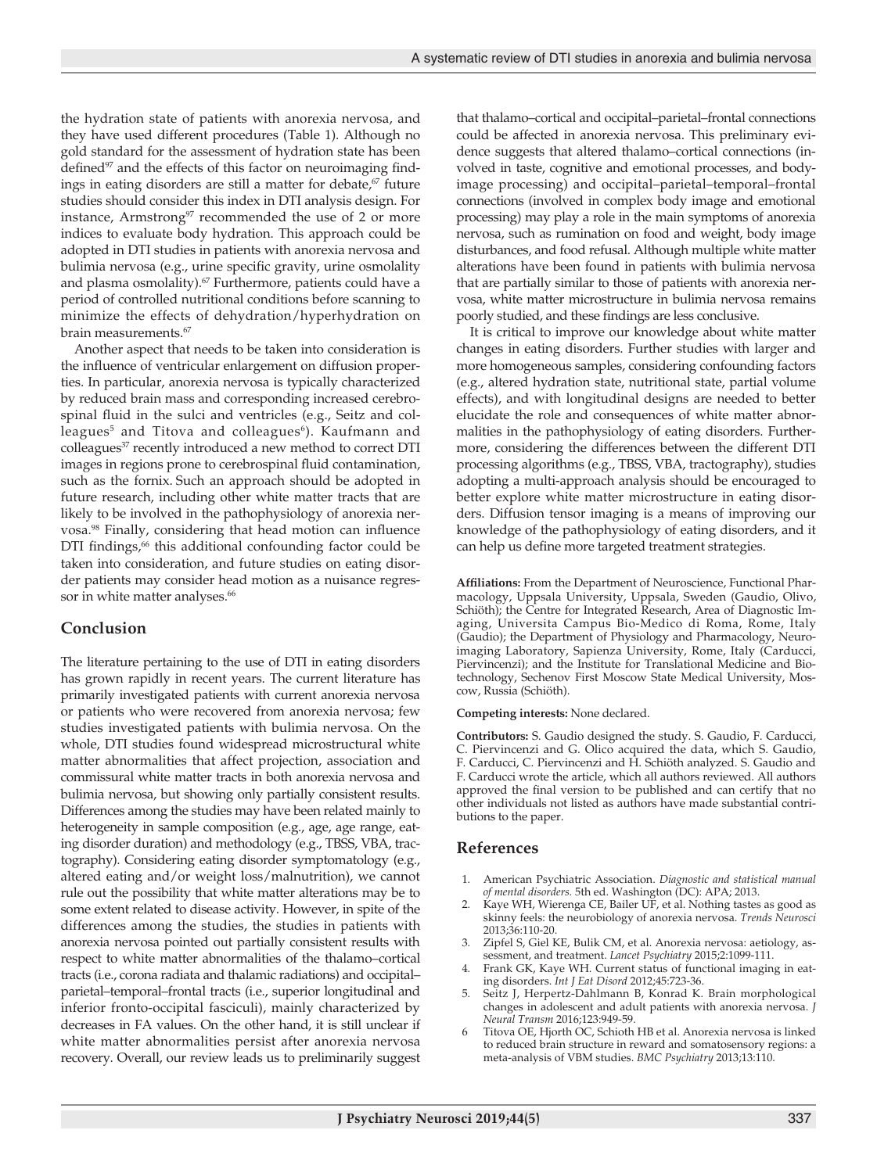the hydration state of patients with anorexia nervosa, and they have used different procedures (Table 1). Although no gold standard for the assessment of hydration state has been defined $97$  and the effects of this factor on neuroimaging findings in eating disorders are still a matter for debate, $67$  future studies should consider this index in DTI analysis design. For instance, Armstrong<sup>97</sup> recommended the use of 2 or more indices to evaluate body hydration. This approach could be adopted in DTI studies in patients with anorexia nervosa and bulimia nervosa (e.g., urine specific gravity, urine osmolality and plasma osmolality).<sup>67</sup> Furthermore, patients could have a period of controlled nutritional conditions before scanning to minimize the effects of dehydration/hyperhydration on brain measurements.<sup>67</sup>

Another aspect that needs to be taken into consideration is the influence of ventricular enlargement on diffusion properties. In particular, anorexia nervosa is typically characterized by reduced brain mass and corresponding increased cerebrospinal fluid in the sulci and ventricles (e.g., Seitz and colleagues<sup>5</sup> and Titova and colleagues<sup>6</sup>). Kaufmann and colleagues<sup>37</sup> recently introduced a new method to correct DTI images in regions prone to cerebrospinal fluid contamination, such as the fornix. Such an approach should be adopted in future research, including other white matter tracts that are likely to be involved in the pathophysiology of anorexia nervosa.98 Finally, considering that head motion can influence DTI findings,<sup>66</sup> this additional confounding factor could be taken into consideration, and future studies on eating disorder patients may consider head motion as a nuisance regressor in white matter analyses.<sup>66</sup>

## **Conclusion**

The literature pertaining to the use of DTI in eating disorders has grown rapidly in recent years. The current literature has primarily investigated patients with current anorexia nervosa or patients who were recovered from anorexia nervosa; few studies investigated patients with bulimia nervosa. On the whole, DTI studies found widespread microstructural white matter abnormalities that affect projection, association and commissural white matter tracts in both anorexia nervosa and bulimia nervosa, but showing only partially consistent results. Differences among the studies may have been related mainly to heterogeneity in sample composition (e.g., age, age range, eating disorder duration) and methodology (e.g., TBSS, VBA, tractography). Considering eating disorder symptomatology (e.g., altered eating and/or weight loss/malnutrition), we cannot rule out the possibility that white matter alterations may be to some extent related to disease activity. However, in spite of the differences among the studies, the studies in patients with anorexia nervosa pointed out partially consistent results with respect to white matter abnormalities of the thalamo–cortical tracts (i.e., corona radiata and thalamic radiations) and occipital– parietal–temporal–frontal tracts (i.e., superior longitudinal and inferior fronto-occipital fasciculi), mainly characterized by decreases in FA values. On the other hand, it is still unclear if white matter abnormalities persist after anorexia nervosa recovery. Overall, our review leads us to preliminarily suggest

that thalamo–cortical and occipital–parietal–frontal connections could be affected in anorexia nervosa. This preliminary evidence suggests that altered thalamo–cortical connections (involved in taste, cognitive and emotional processes, and bodyimage processing) and occipital–parietal–temporal–frontal connections (involved in complex body image and emotional processing) may play a role in the main symptoms of anorexia nervosa, such as rumination on food and weight, body image disturbances, and food refusal. Although multiple white matter alterations have been found in patients with bulimia nervosa that are partially similar to those of patients with anorexia nervosa, white matter microstructure in bulimia nervosa remains poorly studied, and these findings are less conclusive.

It is critical to improve our knowledge about white matter changes in eating disorders. Further studies with larger and more homogeneous samples, considering confounding factors (e.g., altered hydration state, nutritional state, partial volume effects), and with longitudinal designs are needed to better elucidate the role and consequences of white matter abnormalities in the pathophysiology of eating disorders. Furthermore, considering the differences between the different DTI processing algorithms (e.g., TBSS, VBA, tractography), studies adopting a multi-approach analysis should be encouraged to better explore white matter microstructure in eating disorders. Diffusion tensor imaging is a means of improving our knowledge of the pathophysiology of eating disorders, and it can help us define more targeted treatment strategies.

**Affiliations:** From the Department of Neuroscience, Functional Pharmacology, Uppsala University, Uppsala, Sweden (Gaudio, Olivo, Schiöth); the Centre for Integrated Research, Area of Diagnostic Imaging, Universita Campus Bio-Medico di Roma, Rome, Italy (Gaudio); the Department of Physiology and Pharmacology, Neuroimaging Laboratory, Sapienza University, Rome, Italy (Carducci, Piervincenzi); and the Institute for Translational Medicine and Biotechnology, Sechenov First Moscow State Medical University, Moscow, Russia (Schiöth).

#### **Competing interests:** None declared.

**Contributors:** S. Gaudio designed the study. S. Gaudio, F. Carducci, C. Piervincenzi and G. Olico acquired the data, which S. Gaudio, F. Carducci, C. Piervincenzi and H. Schiöth analyzed. S. Gaudio and F. Carducci wrote the article, which all authors reviewed. All authors approved the final version to be published and can certify that no other individuals not listed as authors have made substantial contributions to the paper.

#### **References**

- 1. American Psychiatric Association. *Diagnostic and statistical manual of mental disorders.* 5th ed. Washington (DC): APA; 2013.
- Kaye WH, Wierenga CE, Bailer UF, et al. Nothing tastes as good as skinny feels: the neurobiology of anorexia nervosa. *Trends Neurosci* 2013;36:110-20.
- 3. Zipfel S, Giel KE, Bulik CM, et al. Anorexia nervosa: aetiology, assessment, and treatment. *Lancet Psychiatry* 2015;2:1099-111.
- Frank GK, Kaye WH. Current status of functional imaging in eating disorders. *Int J Eat Disord* 2012;45:723-36.
- 5. Seitz J, Herpertz-Dahlmann B, Konrad K. Brain morphological changes in adolescent and adult patients with anorexia nervosa. *J Neural Transm* 2016;123:949-59.
- 6 Titova OE, Hjorth OC, Schioth HB et al. Anorexia nervosa is linked to reduced brain structure in reward and somatosensory regions: a meta-analysis of VBM studies. *BMC Psychiatry* 2013;13:110.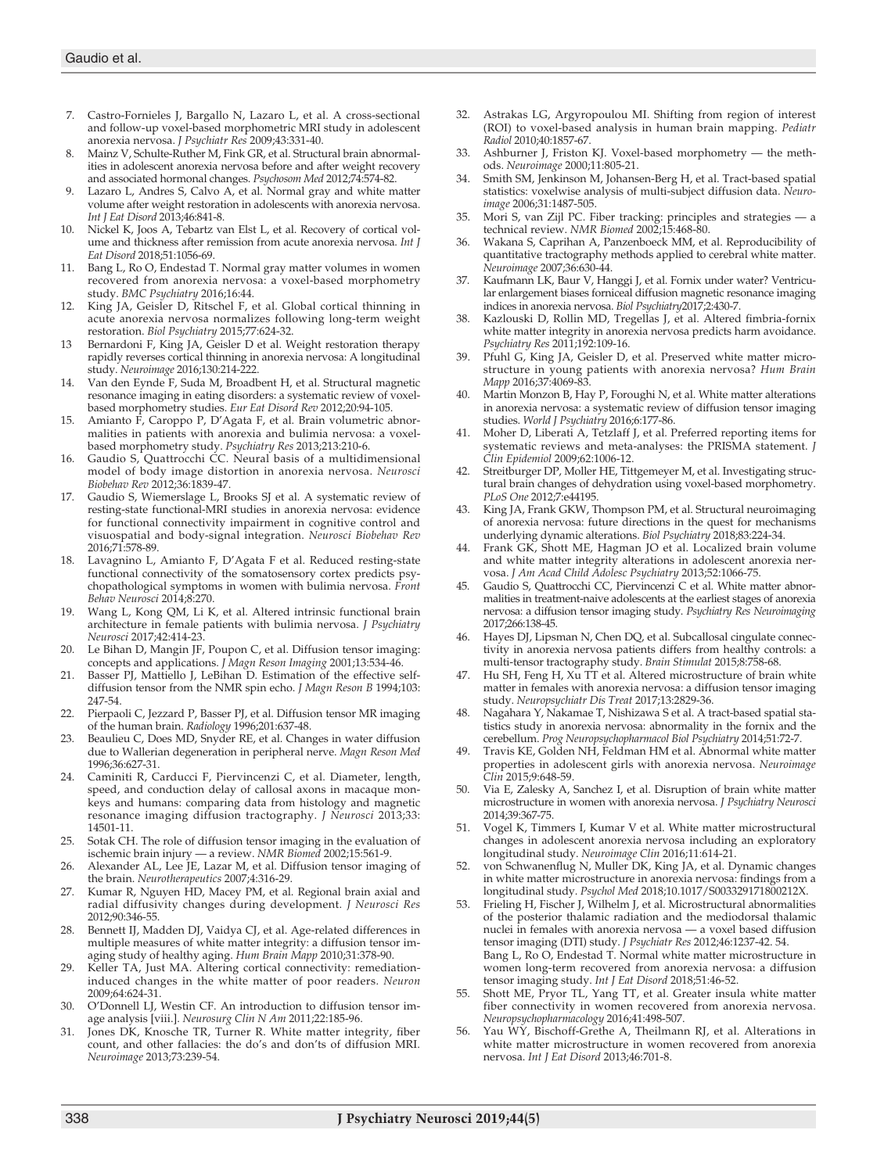- 7. Castro-Fornieles J, Bargallo N, Lazaro L, et al. A cross-sectional and follow-up voxel-based morphometric MRI study in adolescent anorexia nervosa. *J Psychiatr Res* 2009;43:331-40.
- 8. Mainz V, Schulte-Ruther M, Fink GR, et al. Structural brain abnormalities in adolescent anorexia nervosa before and after weight recovery and associated hormonal changes. *Psychosom Med* 2012;74:574-82.
- Lazaro L, Andres S, Calvo A, et al. Normal gray and white matter volume after weight restoration in adolescents with anorexia nervosa. *Int J Eat Disord* 2013;46:841-8.
- 10. Nickel K, Joos A, Tebartz van Elst L, et al. Recovery of cortical volume and thickness after remission from acute anorexia nervosa. *Int J Eat Disord* 2018;51:1056-69.
- 11. Bang L, Ro O, Endestad T. Normal gray matter volumes in women recovered from anorexia nervosa: a voxel-based morphometry study. *BMC Psychiatry* 2016;16:44.
- 12. King JA, Geisler D, Ritschel F, et al. Global cortical thinning in acute anorexia nervosa normalizes following long-term weight restoration. *Biol Psychiatry* 2015;77:624-32.
- 13 Bernardoni F, King JA, Geisler D et al. Weight restoration therapy rapidly reverses cortical thinning in anorexia nervosa: A longitudinal study. *Neuroimage* 2016;130:214-222.
- Van den Eynde F, Suda M, Broadbent H, et al. Structural magnetic resonance imaging in eating disorders: a systematic review of voxelbased morphometry studies. *Eur Eat Disord Rev* 2012;20:94-105.
- 15. Amianto F, Caroppo P, D'Agata F, et al. Brain volumetric abnormalities in patients with anorexia and bulimia nervosa: a voxelbased morphometry study. *Psychiatry Res* 2013;213:210-6.
- 16. Gaudio S, Quattrocchi CC. Neural basis of a multidimensional model of body image distortion in anorexia nervosa. *Neurosci Biobehav Rev* 2012;36:1839-47.
- 17. Gaudio S, Wiemerslage L, Brooks SJ et al. A systematic review of resting-state functional-MRI studies in anorexia nervosa: evidence for functional connectivity impairment in cognitive control and visuospatial and body-signal integration. *Neurosci Biobehav Rev*  2016;71:578-89.
- 18. Lavagnino L, Amianto F, D'Agata F et al. Reduced resting-state functional connectivity of the somatosensory cortex predicts psychopathological symptoms in women with bulimia nervosa. *Front Behav Neurosci* 2014;8:270.
- 19. Wang L, Kong QM, Li K, et al. Altered intrinsic functional brain architecture in female patients with bulimia nervosa. *J Psychiatry Neurosci* 2017;42:414-23.
- 20. Le Bihan D, Mangin JF, Poupon C, et al. Diffusion tensor imaging: concepts and applications. *J Magn Reson Imaging* 2001;13:534-46.
- 21. Basser PJ, Mattiello J, LeBihan D. Estimation of the effective selfdiffusion tensor from the NMR spin echo. *J Magn Reson B* 1994;103: 247-54.
- 22. Pierpaoli C, Jezzard P, Basser PJ, et al. Diffusion tensor MR imaging of the human brain. *Radiology* 1996;201:637-48.
- 23. Beaulieu C, Does MD, Snyder RE, et al. Changes in water diffusion due to Wallerian degeneration in peripheral nerve. *Magn Reson Med* 1996;36:627-31.
- 24. Caminiti R, Carducci F, Piervincenzi C, et al. Diameter, length, speed, and conduction delay of callosal axons in macaque monkeys and humans: comparing data from histology and magnetic resonance imaging diffusion tractography. *J Neurosci* 2013;33: 14501-11.
- 25. Sotak CH. The role of diffusion tensor imaging in the evaluation of ischemic brain injury — a review. *NMR Biomed* 2002;15:561-9.
- 26. Alexander AL, Lee JE, Lazar M, et al. Diffusion tensor imaging of the brain. *Neurotherapeutics* 2007;4:316-29.
- 27. Kumar R, Nguyen HD, Macey PM, et al. Regional brain axial and radial diffusivity changes during development. *J Neurosci Res* 2012;90:346-55.
- 28. Bennett IJ, Madden DJ, Vaidya CJ, et al. Age-related differences in multiple measures of white matter integrity: a diffusion tensor imaging study of healthy aging. *Hum Brain Mapp* 2010;31:378-90.
- 29. Keller TA, Just MA. Altering cortical connectivity: remediationinduced changes in the white matter of poor readers. *Neuron* 2009;64:624-31.
- 30. O'Donnell LJ, Westin CF. An introduction to diffusion tensor image analysis [viii.]. *Neurosurg Clin N Am* 2011;22:185-96.
- 31. Jones DK, Knosche TR, Turner R. White matter integrity, fiber count, and other fallacies: the do's and don'ts of diffusion MRI. *Neuroimage* 2013;73:239-54.
- 32. Astrakas LG, Argyropoulou MI. Shifting from region of interest (ROI) to voxel-based analysis in human brain mapping. *Pediatr Radiol* 2010;40:1857-67.
- 33. Ashburner J, Friston KJ. Voxel-based morphometry the methods. *Neuroimage* 2000;11:805-21.
- 34. Smith SM, Jenkinson M, Johansen-Berg H, et al. Tract-based spatial statistics: voxelwise analysis of multi-subject diffusion data. *Neuroimage* 2006;31:1487-505.
- 35. Mori S, van Zijl PC. Fiber tracking: principles and strategies a technical review. *NMR Biomed* 2002;15:468-80.
- 36. Wakana S, Caprihan A, Panzenboeck MM, et al. Reproducibility of quantitative tractography methods applied to cerebral white matter. *Neuroimage* 2007;36:630-44.
- 37. Kaufmann LK, Baur V, Hanggi J, et al. Fornix under water? Ventricular enlargement biases forniceal diffusion magnetic resonance imaging indices in anorexia nervosa. *Biol Psychiatry*2017;2:430-7.
- 38. Kazlouski D, Rollin MD, Tregellas J, et al. Altered fimbria-fornix white matter integrity in anorexia nervosa predicts harm avoidance. *Psychiatry Res* 2011;192:109-16.
- 39. Pfuhl G, King JA, Geisler D, et al. Preserved white matter microstructure in young patients with anorexia nervosa? *Hum Brain Mapp* 2016;37:4069-83.
- 40. Martin Monzon B, Hay P, Foroughi N, et al. White matter alterations in anorexia nervosa: a systematic review of diffusion tensor imaging studies. *World J Psychiatry* 2016;6:177-86.
- Moher D, Liberati A, Tetzlaff J, et al. Preferred reporting items for systematic reviews and meta-analyses: the PRISMA statement. *J Clin Epidemiol* 2009;62:1006-12.
- 42. Streitburger DP, Moller HE, Tittgemeyer M, et al. Investigating structural brain changes of dehydration using voxel-based morphometry. *PLoS One* 2012;7:e44195.
- 43. King JA, Frank GKW, Thompson PM, et al. Structural neuroimaging of anorexia nervosa: future directions in the quest for mechanisms underlying dynamic alterations. *Biol Psychiatry* 2018;83:224-34.
- 44. Frank GK, Shott ME, Hagman JO et al. Localized brain volume and white matter integrity alterations in adolescent anorexia nervosa. *J Am Acad Child Adolesc Psychiatry* 2013;52:1066-75.
- 45. Gaudio S, Quattrocchi CC, Piervincenzi C et al. White matter abnormalities in treatment-naive adolescents at the earliest stages of anorexia nervosa: a diffusion tensor imaging study. *Psychiatry Res Neuroimaging* 2017;266:138-45.
- Hayes DJ, Lipsman N, Chen DQ, et al. Subcallosal cingulate connectivity in anorexia nervosa patients differs from healthy controls: a multi-tensor tractography study. *Brain Stimulat* 2015;8:758-68.
- 47. Hu SH, Feng H, Xu TT et al. Altered microstructure of brain white matter in females with anorexia nervosa: a diffusion tensor imaging study. *Neuropsychiatr Dis Treat* 2017;13:2829-36.
- 48. Nagahara Y, Nakamae T, Nishizawa S et al. A tract-based spatial statistics study in anorexia nervosa: abnormality in the fornix and the cerebellum. *Prog Neuropsychopharmacol Biol Psychiatry* 2014;51:72-7.
- 49. Travis KE, Golden NH, Feldman HM et al. Abnormal white matter properties in adolescent girls with anorexia nervosa. *Neuroimage Clin* 2015;9:648-59.
- 50. Via E, Zalesky A, Sanchez I, et al. Disruption of brain white matter microstructure in women with anorexia nervosa. *J Psychiatry Neurosci* 2014;39:367-75.
- 51. Vogel K, Timmers I, Kumar V et al. White matter microstructural changes in adolescent anorexia nervosa including an exploratory longitudinal study. *Neuroimage Clin* 2016;11:614-21.
- 52. von Schwanenflug N, Muller DK, King JA, et al. Dynamic changes in white matter microstructure in anorexia nervosa: findings from a longitudinal study. *Psychol Med* 2018;10.1017/S003329171800212X.
- 53. Frieling H, Fischer J, Wilhelm J, et al. Microstructural abnormalities of the posterior thalamic radiation and the mediodorsal thalamic nuclei in females with anorexia nervosa — a voxel based diffusion tensor imaging (DTI) study. *J Psychiatr Res* 2012;46:1237-42. 54. Bang L, Ro O, Endestad T. Normal white matter microstructure in women long-term recovered from anorexia nervosa: a diffusion tensor imaging study. *Int J Eat Disord* 2018;51:46-52.
- 55. Shott ME, Pryor TL, Yang TT, et al. Greater insula white matter fiber connectivity in women recovered from anorexia nervosa. *Neuropsychopharmacology* 2016;41:498-507.
- Yau WY, Bischoff-Grethe A, Theilmann RJ, et al. Alterations in white matter microstructure in women recovered from anorexia nervosa. *Int J Eat Disord* 2013;46:701-8.